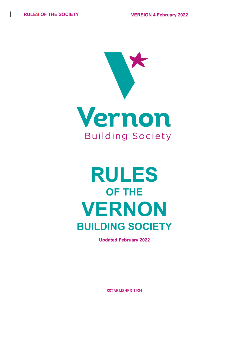

# **RULES OF THE VERNON BUILDING SOCIETY**

**Updated February 2022**

ESTABLISHED 1924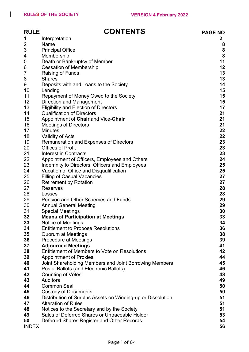$\begin{array}{c} \hline \end{array}$ 

| <b>RULE</b>        | <b>CONTENTS</b>                                             | <b>PAGE NO</b> |
|--------------------|-------------------------------------------------------------|----------------|
| 1                  | Interpretation                                              | $\mathbf{2}$   |
| $\overline{c}$     | Name                                                        | 8              |
| 3                  | <b>Principal Office</b>                                     | 8              |
| 4                  | Membership                                                  | 8              |
| 5                  | Death or Bankruptcy of Member                               | 11             |
| 6                  | <b>Cessation of Membership</b>                              | 12             |
| $\overline{7}$     | <b>Raising of Funds</b>                                     | 13             |
| 8                  | <b>Shares</b>                                               | 13             |
| 9                  | Deposits with and Loans to the Society                      | 14             |
| 10                 | Lending                                                     | 15             |
| 11                 | Repayment of Money Owed to the Society                      | 15             |
| 12                 | <b>Direction and Management</b>                             | 15             |
| 13                 | <b>Eligibility and Election of Directors</b>                | 17             |
| 14                 | <b>Qualification of Directors</b>                           | 21             |
| 15                 | Appointment of Chair and Vice-Chair                         | 21             |
| 16                 | <b>Meetings of Directors</b>                                | 21             |
| 17                 | <b>Minutes</b>                                              | 22             |
| 18                 | <b>Validity of Acts</b>                                     | 22             |
| 19                 | Remuneration and Expenses of Directors                      | 23             |
| 20                 | <b>Offices of Profit</b>                                    | 23             |
| 21                 | <b>Interest in Contracts</b>                                | 23             |
| 22                 | Appointment of Officers, Employees and Others               | 24             |
| 23                 | Indemnity to Directors, Officers and Employees              | 25             |
| 24                 | Vacation of Office and Disqualification                     | 25             |
| 25                 | <b>Filling of Casual Vacancies</b>                          | 27             |
| 26                 | <b>Retirement by Rotation</b>                               | 27             |
| 27                 | <b>Reserves</b>                                             | 28             |
| 28                 | Losses                                                      | 28             |
| 29                 | Pension and Other Schemes and Funds                         | 29             |
| 30                 | <b>Annual General Meeting</b>                               | 29             |
| 31                 | <b>Special Meetings</b>                                     | 30             |
| 32                 | <b>Means of Participation at Meetings</b>                   | 33             |
| 33                 | Notice of Meetings                                          | 34             |
| 34                 | <b>Entitlement to Propose Resolutions</b>                   | 36             |
| 35                 | <b>Quorum at Meetings</b>                                   | 38             |
| 36                 | <b>Procedure at Meetings</b>                                | 39             |
| 37                 | <b>Adjourned Meetings</b>                                   | 41             |
| 38                 | Entitlement of Members to Vote on Resolutions               | 42             |
| 39                 | <b>Appointment of Proxies</b>                               | 44             |
| 40                 | Joint Shareholding Members and Joint Borrowing Members      | 45             |
| 41                 | Postal Ballots (and Electronic Ballots)                     | 46             |
| 42                 | <b>Counting of Votes</b>                                    | 48             |
| 43                 | <b>Auditors</b>                                             | 49             |
| 44                 | <b>Common Seal</b>                                          | 50             |
| 45                 | <b>Custody of Documents</b>                                 | 50             |
| 46                 | Distribution of Surplus Assets on Winding-up or Dissolution | 51             |
| 47                 | <b>Alteration of Rules</b>                                  | 51             |
| 48                 | Notices to the Secretary and by the Society                 | 51             |
| 49                 | Sales of Deferred Shares or Untraceable Holder              | 53             |
| 50<br><b>INDEX</b> | Deferred Shares Register and Other Records                  | 54<br>56       |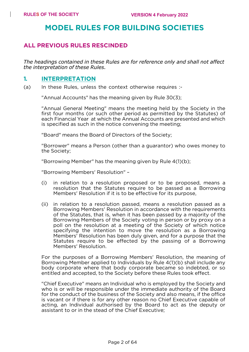# **MODEL RULES FOR BUILDING SOCIETIES**

#### **ALL PREVIOUS RULES RESCINDED**

*The headings contained in these Rules are for reference only and shall not affect the interpretation of these Rules.*

#### **1. INTERPRETATION**

(a) In these Rules, unless the context otherwise requires :-

"Annual Accounts" has the meaning given by Rule 30(3);

"Annual General Meeting" means the meeting held by the Society in the first four months (or such other period as permitted by the Statutes) of each Financial Year at which the Annual Accounts are presented and which is specified as such in the notice convening the meeting;

"Board" means the Board of Directors of the Society;

"Borrower" means a Person (other than a guarantor) who owes money to the Society;

"Borrowing Member" has the meaning given by Rule 4(1)(b);

"Borrowing Members' Resolution" –

- (i) in relation to a resolution proposed or to be proposed, means a resolution that the Statutes require to be passed as a Borrowing Members' Resolution if it is to be effective for its purpose,
- (ii) in relation to a resolution passed, means a resolution passed as a Borrowing Members' Resolution in accordance with the requirements of the Statutes, that is, when it has been passed by a majority of the Borrowing Members of the Society voting in person or by proxy on a poll on the resolution at a meeting of the Society of which notice specifying the intention to move the resolution as a Borrowing Members' Resolution has been duly given, and for a purpose that the Statutes require to be effected by the passing of a Borrowing Members' Resolution.

For the purposes of a Borrowing Members' Resolution, the meaning of Borrowing Member applied to Individuals by Rule 4(1)(b) shall include any body corporate where that body corporate became so indebted, or so entitled and accepted, to the Society before these Rules took effect.

"Chief Executive" means an Individual who is employed by the Society and who is or will be responsible under the immediate authority of the Board for the conduct of the business of the Society and also means, if the office is vacant or if there is for any other reason no Chief Executive capable of acting, an Individual authorised by the Board to act as the deputy or assistant to or in the stead of the Chief Executive;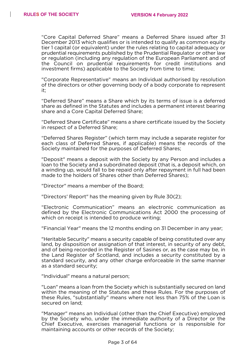"Core Capital Deferred Share" means a Deferred Share issued after 31 December 2013 which qualifies or is intended to qualify as common equity tier 1 capital (or equivalent) under the rules relating to capital adequacy or prudential requirements published by the Prudential Regulator or other law or regulation (including any regulation of the European Parliament and of the Council on prudential requirements for credit institutions and investment firms) applicable to the Society from time to time;

"Corporate Representative" means an Individual authorised by resolution of the directors or other governing body of a body corporate to represent it;

"Deferred Share" means a Share which by its terms of issue is a deferred share as defined in the Statutes and includes a permanent interest bearing share and a Core Capital Deferred Share;

"Deferred Share Certificate" means a share certificate issued by the Society in respect of a Deferred Share;

"Deferred Shares Register" (which term may include a separate register for each class of Deferred Shares, if applicable) means the records of the Society maintained for the purposes of Deferred Shares;

"Deposit" means a deposit with the Society by any Person and includes a loan to the Society and a subordinated deposit (that is, a deposit which, on a winding up, would fall to be repaid only after repayment in full had been made to the holders of Shares other than Deferred Shares);

"Director" means a member of the Board;

"Directors' Report" has the meaning given by Rule 30(2);

"Electronic Communication" means an electronic communication as defined by the Electronic Communications Act 2000 the processing of which on receipt is intended to produce writing;

"Financial Year" means the 12 months ending on 31 December in any year;

"Heritable Security" means a security capable of being constituted over any land, by disposition or assignation of that interest, in security of any debt, and of being recorded in the Register of Sasines or, as the case may be, in the Land Register of Scotland, and includes a security constituted by a standard security, and any other charge enforceable in the same manner as a standard security;

"Individual" means a natural person;

"Loan" means a loan from the Society which is substantially secured on land within the meaning of the Statutes and these Rules. For the purposes of these Rules, "substantially" means where not less than 75% of the Loan is secured on land;

"Manager" means an Individual (other than the Chief Executive) employed by the Society who, under the immediate authority of a Director or the Chief Executive, exercises managerial functions or is responsible for maintaining accounts or other records of the Society;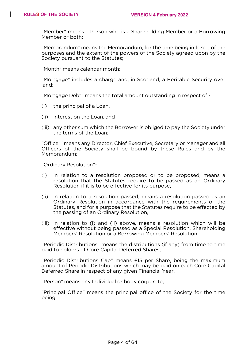"Member" means a Person who is a Shareholding Member or a Borrowing Member or both;

"Memorandum" means the Memorandum, for the time being in force, of the purposes and the extent of the powers of the Society agreed upon by the Society pursuant to the Statutes;

"Month" means calendar month;

"Mortgage" includes a charge and, in Scotland, a Heritable Security over land;

"Mortgage Debt" means the total amount outstanding in respect of -

- (i) the principal of a Loan,
- (ii) interest on the Loan, and
- (iii) any other sum which the Borrower is obliged to pay the Society under the terms of the Loan;

"Officer" means any Director, Chief Executive, Secretary or Manager and all Officers of the Society shall be bound by these Rules and by the Memorandum;

"Ordinary Resolution"-

- (i) in relation to a resolution proposed or to be proposed, means a resolution that the Statutes require to be passed as an Ordinary Resolution if it is to be effective for its purpose,
- (ii) in relation to a resolution passed, means a resolution passed as an Ordinary Resolution in accordance with the requirements of the Statutes, and for a purpose that the Statutes require to be effected by the passing of an Ordinary Resolution,
- (iii) in relation to (i) and (ii) above, means a resolution which will be effective without being passed as a Special Resolution, Shareholding Members' Resolution or a Borrowing Members' Resolution;

"Periodic Distributions" means the distributions (if any) from time to time paid to holders of Core Capital Deferred Shares;

"Periodic Distributions Cap" means £15 per Share, being the maximum amount of Periodic Distributions which may be paid on each Core Capital Deferred Share in respect of any given Financial Year.

"Person" means any Individual or body corporate;

"Principal Office" means the principal office of the Society for the time being;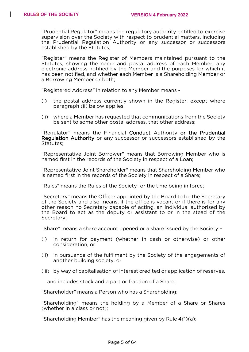"Prudential Regulator" means the regulatory authority entitled to exercise supervision over the Society with respect to prudential matters, including the Prudential Regulation Authority or any successor or successors established by the Statutes;

"Register" means the Register of Members maintained pursuant to the Statutes, showing the name and postal address of each Member, any electronic address notified by the Member and the purposes for which it has been notified, and whether each Member is a Shareholding Member or a Borrowing Member or both;

"Registered Address" in relation to any Member means -

- (i) the postal address currently shown in the Register, except where paragraph (ii) below applies,
- (ii) where a Member has requested that communications from the Society be sent to some other postal address, that other address;

"Regulator" means the Financial Conduct Authority or the Prudential Regulation Authority or any successor or successors established by the Statutes;

"Representative Joint Borrower" means that Borrowing Member who is named first in the records of the Society in respect of a Loan;

"Representative Joint Shareholder" means that Shareholding Member who is named first in the records of the Society in respect of a Share;

"Rules" means the Rules of the Society for the time being in force;

"Secretary" means the Officer appointed by the Board to be the Secretary of the Society and also means, if the office is vacant or if there is for any other reason no Secretary capable of acting, an Individual authorised by the Board to act as the deputy or assistant to or in the stead of the Secretary;

"Share" means a share account opened or a share issued by the Society –

- (i) in return for payment (whether in cash or otherwise) or other consideration, or
- (ii) in pursuance of the fulfilment by the Society of the engagements of another building society, or
- (iii) by way of capitalisation of interest credited or application of reserves,

and includes stock and a part or fraction of a Share;

"Shareholder" means a Person who has a Shareholding;

"Shareholding" means the holding by a Member of a Share or Shares (whether in a class or not);

"Shareholding Member" has the meaning given by Rule 4(1)(a);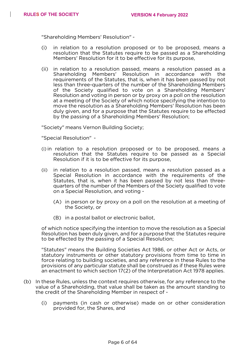"Shareholding Members' Resolution" -

- (i) in relation to a resolution proposed or to be proposed, means a resolution that the Statutes require to be passed as a Shareholding Members' Resolution for it to be effective for its purpose,
- (ii) in relation to a resolution passed, means a resolution passed as a Shareholding Members' Resolution in accordance with the requirements of the Statutes, that is, when it has been passed by not less than three-quarters of the number of the Shareholding Members of the Society qualified to vote on a Shareholding Members' Resolution and voting in person or by proxy on a poll on the resolution at a meeting of the Society of which notice specifying the intention to move the resolution as a Shareholding Members' Resolution has been duly given, and for a purpose that the Statutes require to be effected by the passing of a Shareholding Members' Resolution;

"Society" means Vernon Building Society;

"Special Resolution" -

- (i) in relation to a resolution proposed or to be proposed, means a resolution that the Statutes require to be passed as a Special Resolution if it is to be effective for its purpose,
- (ii) in relation to a resolution passed, means a resolution passed as a Special Resolution in accordance with the requirements of the Statutes, that is, when it has been passed by not less than threequarters of the number of the Members of the Society qualified to vote on a Special Resolution, and voting -
	- (A) in person or by proxy on a poll on the resolution at a meeting of the Society, or
	- (B) in a postal ballot or electronic ballot,

of which notice specifying the intention to move the resolution as a Special Resolution has been duly given, and for a purpose that the Statutes require to be effected by the passing of a Special Resolution;

"Statutes" means the Building Societies Act 1986, or other Act or Acts, or statutory instruments or other statutory provisions from time to time in force relating to building societies, and any reference in these Rules to the provisions of any particular statute shall be construed as if these Rules were an enactment to which section 17(2) of the Interpretation Act 1978 applies.

- (b) In these Rules, unless the context requires otherwise, for any reference to the value of a Shareholding, that value shall be taken as the amount standing to the credit of the Shareholding Member in respect of -
	- (i) payments (in cash or otherwise) made on or other consideration provided for, the Shares, and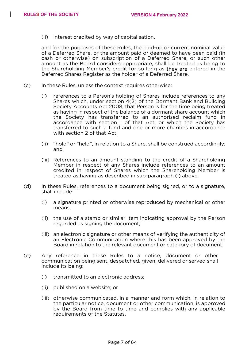(ii) interest credited by way of capitalisation.

and for the purposes of these Rules, the paid-up or current nominal value of a Deferred Share, or the amount paid or deemed to have been paid (in cash or otherwise) on subscription of a Deferred Share, or such other amount as the Board considers appropriate, shall be treated as being to the Shareholding Member's credit for so long as they are entered in the Deferred Shares Register as the holder of a Deferred Share.

- (c) In these Rules, unless the context requires otherwise:
	- (i) references to a Person's holding of Shares include references to any Shares which, under section 4(2) of the Dormant Bank and Building Society Accounts Act 2008, that Person is for the time being treated as having in respect of the balance of a dormant share account which the Society has transferred to an authorised reclaim fund in accordance with section 1 of that Act, or which the Society has transferred to such a fund and one or more charities in accordance with section 2 of that Act;
	- (ii) "hold" or "held", in relation to a Share, shall be construed accordingly; and
	- (iii) References to an amount standing to the credit of a Shareholding Member in respect of any Shares include references to an amount credited in respect of Shares which the Shareholding Member is treated as having as described in sub-paragraph (i) above.
- (d) In these Rules, references to a document being signed, or to a signature, shall include:
	- (i) a signature printed or otherwise reproduced by mechanical or other means;
	- (ii) the use of a stamp or similar item indicating approval by the Person regarded as signing the document;
	- (iii) an electronic signature or other means of verifying the authenticity of an Electronic Communication where this has been approved by the Board in relation to the relevant document or category of document.
- (e) Any reference in these Rules to a notice, document or other communication being sent, despatched, given, delivered or served shall include its being:
	- (i) transmitted to an electronic address;
	- (ii) published on a website; or
	- (iii) otherwise communicated, in a manner and form which, in relation to the particular notice, document or other communication, is approved by the Board from time to time and complies with any applicable requirements of the Statutes.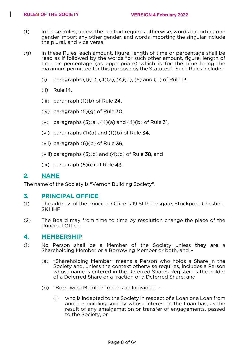- (f) In these Rules, unless the context requires otherwise, words importing one gender import any other gender, and words importing the singular include the plural, and vice versa.
- (g) In these Rules, each amount, figure, length of time or percentage shall be read as if followed by the words "or such other amount, figure, length of time or percentage (as appropriate) which is for the time being the maximum permitted for this purpose by the Statutes". Such Rules include:-
	- (i) paragraphs  $(1)(e)$ ,  $(4)(a)$ ,  $(4)(b)$ ,  $(5)$  and  $(11)$  of Rule 13,
	- (ii) Rule 14,
	- (iii) paragraph (1)(b) of Rule 24,
	- (iv) paragraph (5)(g) of Rule 30,
	- (v) paragraphs  $(3)(a)$ ,  $(4)(a)$  and  $(4)(b)$  of Rule 31,
	- (vi) paragraphs  $(1)(a)$  and  $(1)(b)$  of Rule 34,
	- (vii) paragraph  $(6)(b)$  of Rule 36,
	- (viii) paragraphs  $(3)(c)$  and  $(4)(c)$  of Rule 38, and
	- $(ix)$  paragraph  $(5)(c)$  of Rule 43.

#### **2. NAME**

The name of the Society is "Vernon Building Society".

#### **3. PRINCIPAL OFFICE**

- (1) The address of the Principal Office is 19 St Petersgate, Stockport, Cheshire, SK1 1HF
- (2) The Board may from time to time by resolution change the place of the Principal Office.

#### **4. MEMBERSHIP**

- (1) No Person shall be a Member of the Society unless they are a Shareholding Member or a Borrowing Member or both, and -
	- (a) "Shareholding Member" means a Person who holds a Share in the Society and, unless the context otherwise requires, includes a Person whose name is entered in the Deferred Shares Register as the holder of a Deferred Share or a fraction of a Deferred Share; and
	- (b) "Borrowing Member" means an Individual
		- (i) who is indebted to the Society in respect of a Loan or a Loan from another building society whose interest in the Loan has, as the result of any amalgamation or transfer of engagements, passed to the Society, or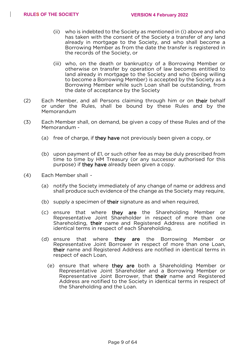- (ii) who is indebted to the Society as mentioned in (i) above and who has taken with the consent of the Society a transfer of any land already in mortgage to the Society, and who shall become a Borrowing Member as from the date the transfer is registered in the records of the Society, or
- (iii) who, on the death or bankruptcy of a Borrowing Member or otherwise on transfer by operation of law becomes entitled to land already in mortgage to the Society and who (being willing to become a Borrowing Member) is accepted by the Society as a Borrowing Member while such Loan shall be outstanding, from the date of acceptance by the Society
- (2) Each Member, and all Persons claiming through him or on their behalf or under the Rules, shall be bound by these Rules and by the Memorandum
- (3) Each Member shall, on demand, be given a copy of these Rules and of the Memorandum -
	- (a) free of charge, if they have not previously been given a copy, or
	- (b) upon payment of  $E1$ , or such other fee as may be duly prescribed from time to time by HM Treasury (or any successor authorised for this purpose) if they have already been given a copy.
- (4) Each Member shall
	- (a) notify the Society immediately of any change of name or address and shall produce such evidence of the change as the Society may require,
	- (b) supply a specimen of their signature as and when required,
	- (c) ensure that where they are the Shareholding Member or Representative Joint Shareholder in respect of more than one Shareholding, their name and Registered Address are notified in identical terms in respect of each Shareholding,
	- (d) ensure that where they are the Borrowing Member or Representative Joint Borrower in respect of more than one Loan, their name and Registered Address are notified in identical terms in respect of each Loan,
		- (e) ensure that where they are both a Shareholding Member or Representative Joint Shareholder and a Borrowing Member or Representative Joint Borrower, that their name and Registered Address are notified to the Society in identical terms in respect of the Shareholding and the Loan.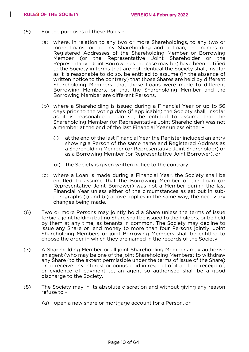- (5) For the purposes of these Rules
	- (a) where, in relation to any two or more Shareholdings, to any two or more Loans, or to any Shareholding and a Loan, the names or Registered Addresses of the Shareholding Member or Borrowing<br>Member (or the Representative Joint Shareholder or the the Representative Joint Shareholder or the Representative Joint Borrower as the case may be) have been notified to the Society in terms that are not identical the Society shall, insofar as it is reasonable to do so, be entitled to assume (in the absence of written notice to the contrary) that those Shares are held by different Shareholding Members, that those Loans were made to different Borrowing Members, or that the Shareholding Member and the Borrowing Member are different Persons,
	- (b) where a Shareholding is issued during a Financial Year or up to 56 days prior to the voting date (if applicable) the Society shall, insofar as it is reasonable to do so, be entitled to assume that the Shareholding Member (or Representative Joint Shareholder) was not a member at the end of the last Financial Year unless either –
		- (i) at the end of the last Financial Year the Register included an entry showing a Person of the same name and Registered Address as a Shareholding Member (or Representative Joint Shareholder) or as a Borrowing Member (or Representative Joint Borrower), or
		- (ii) the Society is given written notice to the contrary,
	- (c) where a Loan is made during a Financial Year, the Society shall be entitled to assume that the Borrowing Member of the Loan (or Representative Joint Borrower) was not a Member during the last Financial Year unless either of the circumstances as set out in subparagraphs (i) and (ii) above applies in the same way, the necessary changes being made.
- (6) Two or more Persons may jointly hold a Share unless the terms of issue forbid a joint holding but no Share shall be issued to the holders, or be held by them at any time, as tenants in common. The Society may decline to issue any Share or lend money to more than four Persons jointly. Joint Shareholding Members or joint Borrowing Members shall be entitled to choose the order in which they are named in the records of the Society.
- (7) A Shareholding Member or all joint Shareholding Members may authorise an agent (who may be one of the joint Shareholding Members) to withdraw any Share (to the extent permissible under the terms of issue of the Share) or to receive any interest or bonus paid in respect of it and the receipt of, or evidence of payment to, an agent so authorised shall be a good discharge to the Society.
- (8) The Society may in its absolute discretion and without giving any reason refuse to -
	- (a) open a new share or mortgage account for a Person, or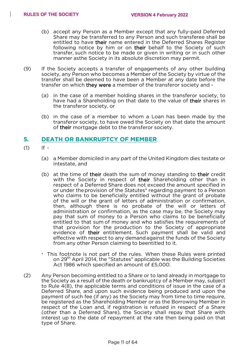- (b) accept any Person as a Member except that any fully-paid Deferred Share may be transferred to any Person and such transferee shall be entitled to have their name entered in the Deferred Shares Register following notice by him or on their behalf to the Society of such transfer, such notice to be made or given in writing or in such other manner asthe Society in its absolute discretion may permit.
- (9) If the Society accepts a transfer of engagements of any other building society, any Person who becomes a Member of the Society by virtue of the transfer shall be deemed to have been a Member at any date before the transfer on which they were a member of the transferor society and -
	- (a) in the case of a member holding shares in the transferor society, to have had a Shareholding on that date to the value of their shares in the transferor society, or
	- (b) in the case of a member to whom a Loan has been made by the transferor society, to have owed the Society on that date the amount of their mortgage debt to the transferor society.

#### **5. DEATH OR BANKRUPTCY OF MEMBER**

- $(1)$  If -
	- (a) a Member domiciled in any part of the United Kingdom dies testate or intestate, and
	- (b) at the time of their death the sum of money standing to their credit with the Society in respect of their Shareholding other than in respect of a Deferred Share does not exceed the amount specified in or under theprovision of the Statutes\* regarding payment to a Person who claims to be beneficially entitled without the grant of probate of the will or the grant of letters of administration or confirmation, then, although there is no probate of the will or letters of administration or confirmation, as the case may be, the Society may pay that sum of money to a Person who claims to be beneficially entitled to that sum of money and who satisfies the requirements of that provision for the production to the Society of appropriate evidence of their entitlement. Such payment shall be valid and effective with respect to any demandagainst the funds of the Society from any other Person claiming to beentitled to it.
	- \* This footnote is not part of the rules. When these Rules were printed on 29<sup>th</sup> April 2014, the "Statutes" applicable was the Building Societies Act 1986 which specified an amount of £5,000.
- (2) Any Person becoming entitled to a Share or to land already in mortgage to the Society as a result of the death or bankruptcy of a Member may, subject to Rule 4(8), the applicable terms and conditions of issue in the case of a Deferred Share, and upon such evidence being produced and upon the payment of such fee (if any) as the Society may from time to time require, be registered as the Shareholding Member or as the Borrowing Member in respect of the Loan and, if registration is refused in respect of a Share (other than a Deferred Share), the Society shall repay that Share with interest up to the date of repayment at the rate then being paid on that type of Share.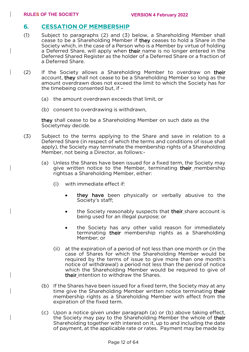#### **6. CESSATION OF MEMBERSHIP**

- (1) Subject to paragraphs (2) and (3) below, a Shareholding Member shall cease to be a Shareholding Member if they ceases to hold a Share in the Society which, in the case of a Person who is a Member by virtue of holding a Deferred Share, will apply when their name is no longer entered in the Deferred Shared Register as the holder of a Deferred Share or a fraction of a Deferred Share.
- (2) If the Society allows a Shareholding Member to overdraw on their account, they shall not cease to be a Shareholding Member so long as the amount overdrawn does not exceed the limit to which the Society has for the timebeing consented but, if –
	- (a) the amount overdrawn exceeds that limit, or
	- (b) consent to overdrawing is withdrawn,

they shall cease to be a Shareholding Member on such date as the Societymay decide.

- (3) Subject to the terms applying to the Share and save in relation to a Deferred Share (in respect of which the terms and conditions of issue shall apply), the Society may terminate the membership rights of a Shareholding Member, not being a Director, as follows:-
	- (a) Unless the Shares have been issued for a fixed term, the Society may give written notice to the Member, terminating their membership rightsas a Shareholding Member, either:
		- (i) with immediate effect if:
			- they have been physically or verbally abusive to the Society's staff;
			- the Society reasonably suspects that their\_share account is being used for an illegal purpose; or
			- the Society has any other valid reason for immediately terminating their membership rights as a Shareholding Member; or
		- (ii) at the expiration of a period of not less than one month or (in the case of Shares for which the Shareholding Member would be required by the terms of issue to give more than one month's notice of withdrawal) a period not less than the period of notice which the Shareholding Member would be required to give of their intention to withdraw the Shares.
	- (b) If the Shares have been issued for a fixed term, the Society may at any time give the Shareholding Member written notice terminating their membership rights as a Shareholding Member with effect from the expiration of the fixed term.
	- (c) Upon a notice given under paragraph (a) or (b) above taking effect, the Society may pay to the Shareholding Member the whole of their Shareholding together with interest on it, up to and including the date of payment, at the applicable rate or rates. Payment may be made by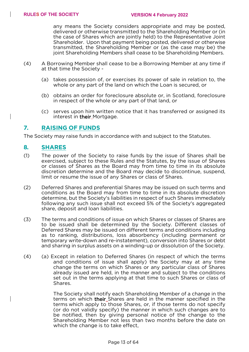any means the Society considers appropriate and may be posted, delivered or otherwise transmitted to the Shareholding Member or (in the case of Shares which are jointly held) to the Representative Joint Shareholder. Upon that payment being posted, delivered or otherwise transmitted, the Shareholding Member or (as the case may be) the joint Shareholding Members shall cease to be Shareholding Members.

- (4) A Borrowing Member shall cease to be a Borrowing Member at any time if at that time the Society -
	- (a) takes possession of, or exercises its power of sale in relation to, the whole or any part of the land on which the Loan is secured, or
	- (b) obtains an order for foreclosure absolute or, in Scotland, foreclosure in respect of the whole or any part of that land, or
	- (c) serves upon him written notice that it has transferred or assigned its interest in their Mortgage.

#### **7. RAISING OF FUNDS**

The Society may raise funds in accordance with and subject to the Statutes.

#### **8. SHARES**

- (1) The power of the Society to raise funds by the issue of Shares shall be exercised, subject to these Rules and the Statutes, by the issue of Shares or classes of Shares as the Board may from time to time in its absolute discretion determine and the Board may decide to discontinue, suspend, limit or resume the issue of any Shares or class of Shares.
- (2) Deferred Shares and preferential Shares may be issued on such terms and conditions as the Board may from time to time in its absolute discretion determine, but the Society's liabilities in respect of such Shares immediately following any such issue shall not exceed 5% of the Society's aggregated share, deposit and loan liabilities.
- (3) The terms and conditions of issue on which Shares or classes of Shares are to be issued shall be determined by the Society. Different classes of Deferred Shares may be issued on different terms and conditions including as to ranking, distributions, loss absorbency (including permanent or temporary write-down and re-instatement), conversion into Shares or debt and sharing in surplus assets on a winding-up or dissolution of the Society.
- (4) (a) Except in relation to Deferred Shares (in respect of which the terms and conditions of issue shall apply) the Society may at any time change the terms on which Shares or any particular class of Shares already issued are held, in the manner and subject to the conditions set out in the terms applying at that time to such Shares or class of Shares.

The Society shall notify each Shareholding Member of a change in the terms on which their\_Shares are held in the manner specified in the terms which apply to those Shares, or, if those terms do not specify (or do not validly specify) the manner in which such changes are to be notified, then by giving personal notice of the change to the Shareholding Member not less than two months before the date on which the change is to take effect,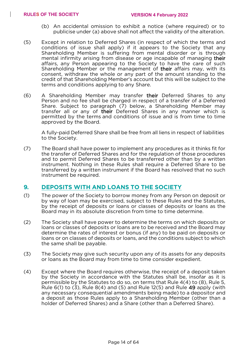- (b) An accidental omission to exhibit a notice (where required) or to publicise under (a) above shall not affect the validity of the alteration.
- (5) Except in relation to Deferred Shares (in respect of which the terms and conditions of issue shall apply) if it appears to the Society that any Shareholding Member is suffering from mental disorder or is through mental infirmity arising from disease or age incapable of managing their affairs, any Person appearing to the Society to have the care of such Shareholding Member or the management of their affairs may, with its consent, withdraw the whole or any part of the amount standing to the credit of that Shareholding Member's account but this will be subject to the terms and conditions applying to any Share.
- (6) A Shareholding Member may transfer their Deferred Shares to any Person and no fee shall be charged in respect of a transfer of a Deferred Share. Subject to paragraph (7) below, a Shareholding Member may transfer all or any of their Deferred Shares in any manner which is permitted by the terms and conditions of issue and is from time to time approved by the Board.

A fully-paid Deferred Share shall be free from all liens in respect of liabilities to the Society.

(7) The Board shall have power to implement any procedures as it thinks fit for the transfer of Deferred Shares and for the regulation of those procedures and to permit Deferred Shares to be transferred other than by a written instrument. Nothing in these Rules shall require a Deferred Share to be transferred by a written instrument if the Board has resolved that no such instrument be required.

#### **9. DEPOSITS WITH AND LOANS TO THE SOCIETY**

- (1) The power of the Society to borrow money from any Person on deposit or by way of loan may be exercised, subject to these Rules and the Statutes, by the receipt of deposits or loans or classes of deposits or loans as the Board may in its absolute discretion from time to time determine.
- (2) The Society shall have power to determine the terms on which deposits or loans or classes of deposits or loans are to be received and the Board may determine the rates of interest or bonus (if any) to be paid on deposits or loans or on classes of deposits or loans, and the conditions subject to which the same shall be payable.
- (3) The Society may give such security upon any of its assets for any deposits or loans as the Board may from time to time consider expedient.
- (4) Except where the Board requires otherwise, the receipt of a deposit taken by the Society in accordance with the Statutes shall be, insofar as it is permissible by the Statutes to do so, on terms that Rule 4(4) to (8), Rule 5, Rule  $6(1)$  to  $(3)$ , Rule  $8(4)$  and  $(5)$  and Rule  $12(5)$  and Rule  $49$  apply (with any necessary consequential amendments being made) to a depositor and a deposit as those Rules apply to a Shareholding Member (other than a holder of Deferred Shares) and a Share (other than a Deferred Share).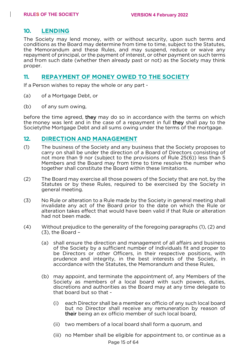### **10. LENDING**

The Society may lend money, with or without security, upon such terms and conditions as the Board may determine from time to time, subject to the Statutes, the Memorandum and these Rules, and may suspend, reduce or waive any repayment of principal, or the payment of interest, or other payment on such terms and from such date (whether then already past or not) as the Society may think proper.

#### **11. REPAYMENT OF MONEY OWED TO THE SOCIETY**

If a Person wishes to repay the whole or any part -

- (a) of a Mortgage Debt, or
- (b) of any sum owing,

before the time agreed, they may do so in accordance with the terms on which the money was lent and in the case of a repayment in full they shall pay to the Societythe Mortgage Debt and all sums owing under the terms of the mortgage.

#### **12. DIRECTION AND MANAGEMENT**

- (1) The business of the Society and any business that the Society proposes to carry on shall be under the direction of a Board of Directors consisting of not more than 9 nor (subject to the provisions of Rule 25(6)) less than 5 Members and the Board may from time to time resolve the number who together shall constitute the Board within these limitations.
- (2) The Board may exercise all those powers of the Society that are not, by the Statutes or by these Rules, required to be exercised by the Society in general meeting.
- (3) No Rule or alteration to a Rule made by the Society in general meeting shall invalidate any act of the Board prior to the date on which the Rule or alteration takes effect that would have been valid if that Rule or alteration had not been made.
- (4) Without prejudice to the generality of the foregoing paragraphs (1), (2) and (3), the Board –
	- (a) shall ensure the direction and management of all affairs and business of the Society by a sufficient number of Individuals fit and proper to be Directors or other Officers, in their respective positions, with prudence and integrity, in the best interests of the Society, in accordance with the Statutes, the Memorandum and these Rules,
	- (b) may appoint, and terminate the appointment of, any Members of the Society as members of a local board with such powers, duties, discretions and authorities as the Board may at any time delegate to that board but so that -
		- (i) each Director shall be a member ex officio of any such local board but no Director shall receive any remuneration by reason of their being an ex officio member of such local board,
		- (ii) two members of a local board shall form a quorum, and
		- (iii) no Member shall be eligible for appointment to, or continue as a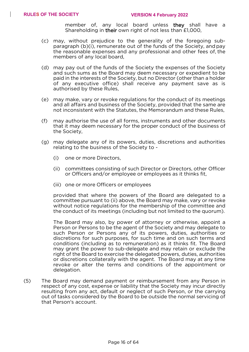member of, any local board unless they shall have a Shareholding in their own right of not less than £1,000.

- (c) may, without prejudice to the generality of the foregoing subparagraph (b)(i), remunerate out of the funds of the Society, andpay the reasonable expenses and any professional and other fees of, the members of any local board,
- (d) may pay out of the funds of the Society the expenses of the Society and such sums as the Board may deem necessary or expedient to be paid in the interests of the Society, but no Director (other than a holder of any executive office) shall receive any payment save as is authorised by these Rules,
- (e) may make, vary or revoke regulations for the conduct of its meetings and all affairs and business of the Society, provided that the same are not inconsistent with the Statutes, the Memorandum and these Rules,
- (f) may authorise the use of all forms, instruments and other documents that it may deem necessary for the proper conduct of the business of the Society,
- (g) may delegate any of its powers, duties, discretions and authorities relating to the business of the Society to -
	- (i) one or more Directors,
	- (ii) committees consisting of such Director or Directors, other Officer or Officers and/or employee or employees as it thinks fit,
	- (iii) one or more Officers or employees

provided that where the powers of the Board are delegated to a committee pursuant to (ii) above, the Board may make, vary or revoke without notice regulations for the membership of the committee and the conduct of its meetings (including but not limited to the quorum).

The Board may also, by power of attorney or otherwise, appoint a Person or Persons to be the agent of the Society and may delegate to such Person or Persons any of its powers, duties, authorities or discretions for such purposes, for such time and on such terms and conditions (including as to remuneration) as it thinks fit. The Board may grant the power to sub-delegate and may retain or exclude the right of the Board to exercise the delegated powers, duties, authorities or discretions collaterally with the agent. The Board may at any time revoke or alter the terms and conditions of the appointment or delegation.

(5) The Board may demand payment or reimbursement from any Person in respect of any cost, expense or liability that the Society may incur directly resulting from any act, default or neglect of such Person, or the carrying out of tasks considered by the Board to be outside the normal servicing of that Person's account.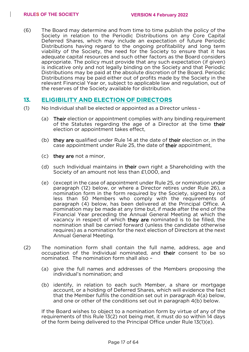(6) The Board may determine and from time to time publish the policy of the Society in relation to the Periodic Distributions on any Core Capital Deferred Shares, which may include an expectation of future Periodic Distributions having regard to the ongoing profitability and long term viability of the Society, the need for the Society to ensure that it has adequate capital resources and such other factors as the Board considers appropriate. The policy must provide that any such expectation (if given) is indicative only and not legally binding on the Society and that Periodic Distributions may be paid at the absolute discretion of the Board. Periodic Distributions may be paid either out of profits made by the Society in the relevant Financial Year or, subject to applicable law and regulation, out of the reserves of the Society available for distribution.

### **13. ELIGIBILITY AND ELECTION OF DIRECTORS**

- (1) No Individual shall be elected or appointed as a Director unless
	- (a) Their election or appointment complies with any binding requirement of the Statutes regarding the age of a Director at the time their election or appointment takes effect,
	- (b) they are qualified under Rule 14 at the date of their election or, in the case appointment under Rule 25, the date of their appointment,
	- (c) they are not a minor,
	- (d) such Individual maintains in their own right a Shareholding with the Society of an amount not less than £1,000, and
	- (e) (except in the case of appointment under Rule 25, or nomination under paragraph (12) below, or where a Director retires under Rule 26), a nomination form in the form required by the Society, signed by not less than 50 Members who comply with the requirements of paragraph (4) below, has been delivered at the Principal Office. A nomination may be made at any time but, if made after the end of the Financial Year preceding the Annual General Meeting at which the vacancy in respect of which they are nominated is to be filled, the nomination shall be carried forward (unless the candidate otherwise requires) as a nomination for the next election of Directors at the next Annual General Meeting.
- (2) The nomination form shall contain the full name, address, age and occupation of the Individual nominated, and their consent to be so nominated. The nomination form shall also –
	- (a) give the full names and addresses of the Members proposing the individual's nomination; and
	- (b) identify, in relation to each such Member, a share or mortgage account, or a holding of Deferred Shares, which will evidence the fact that the Member fulfils the condition set out in paragraph 4(a) below, and one or other of the conditions set out in paragraph 4(b) below.

If the Board wishes to object to a nomination form by virtue of any of the requirements of this Rule 13(2) not being met, it must do so within 14 days of the form being delivered to the Principal Office under Rule 13(1)(e).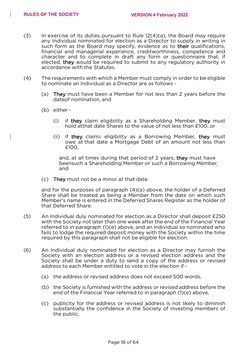- $(3)$  In exercise of its duties pursuant to Rule  $12(4)(a)$ , the Board may require any Individual nominated for election as a Director to supply in writing in such form as the Board may specify, evidence as to their qualifications, financial and managerial experience, creditworthiness, competence and character and to complete in draft any form or questionnaire that, if elected, they would be required to submit to any regulatory authority in accordance with the Statutes.
- (4) The requirements with which a Member must comply in order to be eligible to nominate an Individual as a Director are as follows -
	- (a) They must have been a Member for not less than 2 years before the dateof nomination, and
	- (b) either
		- (i) if they claim eligibility as a Shareholding Member, they must hold atthat date Shares to the value of not less than £100, or
		- (ii) if they claims eligibility as a Borrowing Member, they must owe at that date a Mortgage Debt of an amount not less than £100,

and, at all times during that period of 2 years, they must have beensuch a Shareholding Member or such a Borrowing Member, and

(c) They must not be a minor at that date.

and for the purposes of paragraph (4)(a) above, the holder of a Deferred Share shall be treated as being a Member from the date on which such Member's name is entered in the Deferred Shares Register as the holder of that Deferred Share.

- (5) An Individual duly nominated for election as a Director shall deposit £250 with the Society not later than one week after the end of the Financial Year referred to in paragraph (1)(e) above, and an Individual so nominated who fails to lodge the required deposit money with the Society within the time required by this paragraph shall not be eligible for election.
- (6) An Individual duly nominated for election as a Director may furnish the Society with an election address or a revised election address and the Society shall be under a duty to send a copy of the address or revised address to each Member entitled to vote in the election if -
	- (a) the address or revised address does not exceed 500 words,
	- (b) the Society is furnished with the address or revised address before the end of the Financial Year referred to in paragraph (1)(e) above,
	- (c) publicity for the address or revised address is not likely to diminish substantially the confidence in the Society of investing members of the public,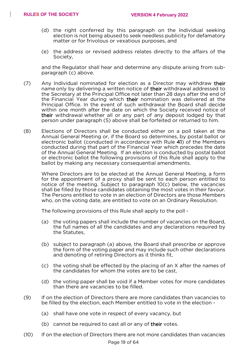- (d) the right conferred by this paragraph on the Individual seeking election is not being abused to seek needless publicity for defamatory matter or for frivolous or vexatious purposes, and
- (e) the address or revised address relates directly to the affairs of the Society,

and the Regulator shall hear and determine any dispute arising from subparagraph (c) above.

- (7) Any Individual nominated for election as a Director may withdraw their name only by delivering a written notice of their withdrawal addressed to the Secretary at the Principal Office not later than 28 days after the end of the Financial Year during which their nomination was delivered at the Principal Office. In the event of such withdrawal the Board shall decide within one month after the date on which the Society received notice of their withdrawal whether all or any part of any deposit lodged by that person under paragraph (5) above shall be forfeited or returned to him.
- (8) Elections of Directors shall be conducted either on a poll taken at the Annual General Meeting or, if the Board so determines, by postal ballot or electronic ballot (conducted in accordance with Rule 41) of the Members conducted during that part of the Financial Year which precedes the date of the Annual General Meeting. If an election is conducted by postal ballot or electronic ballot the following provisions of this Rule shall apply to the ballot by making any necessary consequential amendments.

Where Directors are to be elected at the Annual General Meeting, a form for the appointment of a proxy shall be sent to each person entitled to notice of the meeting. Subject to paragraph 10(c) below, the vacancies shall be filled by those candidates obtaining the most votes in their favour. The Persons entitled to vote in an election of Directors are those Members who, on the voting date, are entitled to vote on an Ordinary Resolution.

The following provisions of this Rule shall apply to the poll -

- (a) the voting papers shall include the number of vacancies on the Board, the full names of all the candidates and any declarations required by the Statutes,
- (b) subject to paragraph (a) above, the Board shall prescribe or approve the form of the voting paper and may include such other declarations and denoting of retiring Directors as it thinks fit,
- (c) the voting shall be effected by the placing of an X after the names of the candidates for whom the votes are to be cast,
- (d) the voting paper shall be void if a Member votes for more candidates than there are vacancies to be filled.
- (9) If on the election of Directors there are more candidates than vacancies to be filled by the election, each Member entitled to vote in the election -
	- (a) shall have one vote in respect of every vacancy, but
	- (b) cannot be required to cast all or any of their votes.
- (10) If on the election of Directors there are not more candidates than vacancies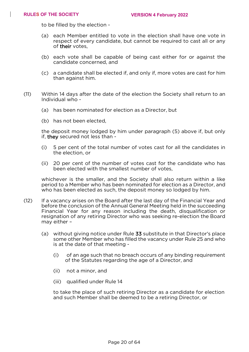to be filled by the election -

- (a) each Member entitled to vote in the election shall have one vote in respect of every candidate, but cannot be required to cast all or any of their votes,
- (b) each vote shall be capable of being cast either for or against the candidate concerned, and
- (c) a candidate shall be elected if, and only if, more votes are cast for him than against him.
- (11) Within 14 days after the date of the election the Society shall return to an Individual who -
	- (a) has been nominated for election as a Director, but
	- (b) has not been elected,

the deposit money lodged by him under paragraph (5) above if, but only if, they secured not less than -

- (i) 5 per cent of the total number of votes cast for all the candidates in the election, or
- (ii) 20 per cent of the number of votes cast for the candidate who has been elected with the smallest number of votes,

whichever is the smaller, and the Society shall also return within a like period to a Member who has been nominated for election as a Director, and who has been elected as such, the deposit money so lodged by him.

- (12) If a vacancy arises on the Board after the last day of the Financial Year and before the conclusion of the Annual General Meeting held in the succeeding Financial Year for any reason including the death, disqualification or resignation of any retiring Director who was seeking re-election the Board may either –
	- (a) without giving notice under Rule 33 substitute in that Director's place some other Member who has filled the vacancy under Rule 25 and who is at the date of that meeting -
		- (i) of an age such that no breach occurs of any binding requirement of the Statutes regarding the age of a Director, and
		- (ii) not a minor, and
		- (iii) qualified under Rule 14

to take the place of such retiring Director as a candidate for election and such Member shall be deemed to be a retiring Director, or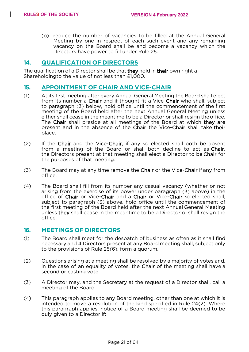(b) reduce the number of vacancies to be filled at the Annual General Meeting by one in respect of each such event and any remaining vacancy on the Board shall be and become a vacancy which the Directors have power to fill under Rule 25.

#### **14. QUALIFICATION OF DIRECTORS**

The qualification of a Director shall be that they hold in their own right a Shareholdingto the value of not less than £1,000.

#### **15. APPOINTMENT OF CHAIR AND VICE-CHAIR**

- (1) At its first meeting after every Annual General Meeting the Board shall elect from its number a Chair and if thought fit a Vice-Chair who shall, subject to paragraph (3) below, hold office until the commencement of the first meeting of the Board held after the next Annual General Meeting unless either shall cease in the meantime to be a Director or shall resign theoffice. The Chair shall preside at all meetings of the Board at which they are present and in the absence of the Chair the Vice-Chair shall take their place.
- (2) If the Chair and the Vice-Chair, if any so elected shall both be absent from a meeting of the Board or shall both decline to act as Chair, the Directors present at that meeting shall elect a Director to be Chair for the purposes of that meeting.
- $(3)$  The Board may at any time remove the Chair or the Vice-Chair if any from office.
- (4) The Board shall fill from its number any casual vacancy (whether or not arising from the exercise of its power under paragraph (3) above) in the office of Chair or Vice-Chair and a Chair or Vice-Chair so elected shall, subject to paragraph (3) above, hold office until the commencement of the first meeting of the Board held after the next Annual General Meeting unless they shall cease in the meantime to be a Director or shall resign the office.

#### **16. MEETINGS OF DIRECTORS**

- (1) The Board shall meet for the despatch of business as often as it shall find necessary and 4 Directors present at any Board meeting shall, subject only to the provisions of Rule 25(6), form a quorum.
- (2) Questions arising at a meeting shall be resolved by a majority of votes and, in the case of an equality of votes, the Chair of the meeting shall have a second or casting vote.
- (3) A Director may, and the Secretary at the request of a Director shall, call a meeting of the Board.
- (4) This paragraph applies to any Board meeting, other than one at which it is intended to move a resolution of the kind specified in Rule 24(2). Where this paragraph applies, notice of a Board meeting shall be deemed to be duly given to a Director if: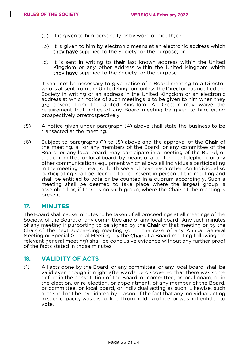- (a) it is given to him personally or by word of mouth; or
- (b) it is given to him by electronic means at an electronic address which they have supplied to the Society for the purpose; or
- (c) it is sent in writing to their last known address within the United Kingdom or any other address within the United Kingdom which they have supplied to the Society for the purpose.

It shall not be necessary to give notice of a Board meeting to a Director who is absent from the United Kingdom unless the Director has notified the Society in writing of an address in the United Kingdom or an electronic address at which notice of such meetings is to be given to him when they are absent from the United Kingdom. A Director may waive the requirement that notice of any Board meeting be given to him, either prospectively orretrospectively.

- (5) A notice given under paragraph (4) above shall state the business to be transacted at the meeting.
- (6) Subject to paragraphs (1) to (5) above and the approval of the Chair of the meeting, all or any members of the Board, or any committee of the Board, or any local board, may participate in a meeting of the Board, or that committee, or local board, by means of a conference telephone or any other communications equipment which allows all Individuals participating in the meeting to hear, or both see and hear, each other. An Individual so participating shall be deemed to be present in person at the meeting and shall be entitled to vote or be counted in a quorum accordingly. Such a meeting shall be deemed to take place where the largest group is assembled or, if there is no such group, where the Chair of the meeting is present.

#### **17. MINUTES**

The Board shall cause minutes to be taken of all proceedings at all meetings of the Society, of the Board, of any committee and of any local board. Any such minutes of any meeting if purporting to be signed by the Chair of that meeting or by the Chair of the next succeeding meeting (or in the case of any Annual General Meeting or Special General Meeting, by the Chair at a Board meeting followingthe relevant general meeting) shall be conclusive evidence without any further proof of the facts stated in those minutes.

#### **18. VALIDITY OF ACTS**

(1) All acts done by the Board, or any committee, or any local board, shall be valid even though it might afterwards be discovered that there was some defect in the constitution of the Board, or committee, or local board, or in the election, or re-election, or appointment, of any member of the Board, or committee, or local board, or Individual acting as such. Likewise, such acts shall not be invalidated by reason of the fact that any Individual acting in such capacity was disqualified from holding office, or was not entitled to vote.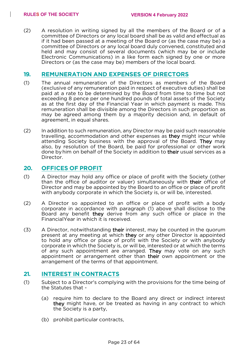(2) A resolution in writing signed by all the members of the Board or of a committee of Directors or any local board shall be as valid and effectual as if it had been passed at a meeting of the Board or (as the case may be) a committee of Directors or any local board duly convened, constituted and held and may consist of several documents (which may be or include Electronic Communications) in a like form each signed by one or more Directors or (as the case may be) members of the local board.

#### **19. REMUNERATION AND EXPENSES OF DIRECTORS**

- (1) The annual remuneration of the Directors as members of the Board (exclusive of any remuneration paid in respect of executive duties) shall be paid at a rate to be determined by the Board from time to time but not exceeding 8 pence per one hundred pounds of total assets of the Society as at the first day of the Financial Year in which payment is made. This remuneration shall be divisible among the Directors in such proportion as may be agreed among them by a majority decision and, in default of agreement, in equal shares.
- (2) In addition to such remuneration, any Director may be paid such reasonable travelling, accommodation and other expenses as they might incur while attending Society business with the approval of the Board. They may also, by resolution of the Board, be paid for professional or other work done byhim on behalf of the Society in addition to their usual services as a Director.

#### **20. OFFICES OF PROFIT**

- (1) A Director may hold any office or place of profit with the Society (other than the office of auditor or valuer) simultaneously with their office of Director and may be appointed by the Board to an office or place of profit with anybody corporate in which the Society is, or will be, interested.
- (2) A Director so appointed to an office or place of profit with a body corporate in accordance with paragraph (1) above shall disclose to the Board any benefit they derive from any such office or place in the FinancialYear in which it is received.
- (3) A Director, notwithstanding their interest, may be counted in the quorum present at any meeting at which they or any other Director is appointed to hold any office or place of profit with the Society or with anybody corporate in which the Society is, or will be, interested or at which the terms of any such appointment are arranged. They may vote on any such appointment or arrangement other than their own appointment or the arrangement of the terms of that appointment.

#### **21. INTEREST IN CONTRACTS**

- (1) Subject to a Director's complying with the provisions for the time being of the Statutes that -
	- (a) require him to declare to the Board any direct or indirect interest they might have, or be treated as having in any contract to which the Society is a party,
	- (b) prohibit particular contracts,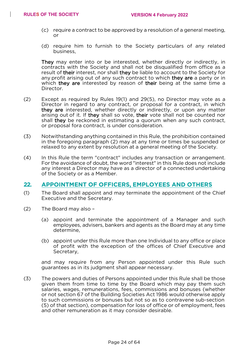- (c) require a contract to be approved by a resolution of a general meeting, or
- (d) require him to furnish to the Society particulars of any related business,

They may enter into or be interested, whether directly or indirectly, in contracts with the Society and shall not be disqualified from office as a result of their interest, nor shall they be liable to account to the Society for any profit arising out of any such contract to which they are a party or in which they are interested by reason of their being at the same time a Director.

- (2) Except as required by Rules 19(1) and 29(5), no Director may vote as a Director in regard to any contract, or proposal for a contract, in which they are interested, whether directly or indirectly, or upon any matter arising out of it. If they shall so vote, their vote shall not be counted nor shall they be reckoned in estimating a quorum when any such contract, or proposal fora contract, is under consideration.
- (3) Notwithstanding anything contained in this Rule, the prohibition contained in the foregoing paragraph (2) may at any time or times be suspended or relaxed to any extent by resolution at a general meeting of the Society.
- (4) In this Rule the term "contract" includes any transaction or arrangement. For the avoidance of doubt, the word "interest" in this Rule does not include any interest a Director may have as a director of a connected undertaking of the Society or as a Member.

#### **22. APPOINTMENT OF OFFICERS, EMPLOYEES AND OTHERS**

- (1) The Board shall appoint and may terminate the appointment of the Chief Executive and the Secretary.
- (2) The Board may also
	- (a) appoint and terminate the appointment of a Manager and such employees, advisers, bankers and agents as the Board may at any time determine,
	- (b) appoint under this Rule more than one Individual to any office or place of profit with the exception of the offices of Chief Executive and Secretary,

and may require from any Person appointed under this Rule such guarantees as in its judgment shall appear necessary.

(3) The powers and duties of Persons appointed under this Rule shall be those given them from time to time by the Board which may pay them such salaries, wages, remunerations, fees, commissions and bonuses (whether or not section 67 of the Building Societies Act 1986 would otherwise apply to such commissions or bonuses but not so as to contravene sub-section (5) of that section), compensation for loss of office or of employment, fees and other remuneration as it may consider desirable.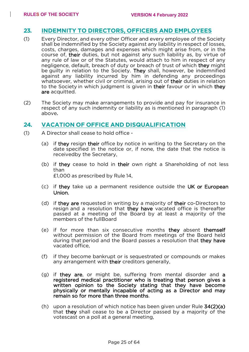#### **23. INDEMNITY TO DIRECTORS, OFFICERS AND EMPLOYEES**

- (1) Every Director, and every other Officer and every employee of the Society shall be indemnified by the Society against any liability in respect of losses, costs, charges, damages and expenses which might arise from, or in the course of, their duties, but not against any such liability as, by virtue of any rule of law or of the Statutes, would attach to him in respect of any negligence, default, breach of duty or breach of trust of which they might be guilty in relation to the Society. They shall, however, be indemnified against any liability incurred by him in defending any proceedings whatsoever, whether civil or criminal, arising out of their duties in relation to the Society in which judgment is given in their favour or in which they are acquitted.
- (2) The Society may make arrangements to provide and pay for insurance in respect of any such indemnity or liability as is mentioned in paragraph (1) above*.*

#### **24. VACATION OF OFFICE AND DISQUALIFICATION**

- (1) A Director shall cease to hold office
	- (a) if they resign their office by notice in writing to the Secretary on the date specified in the notice or, if none, the date that the notice is receivedby the Secretary,
	- (b) if they cease to hold in their own right a Shareholding of not less than £1,000 as prescribed by Rule 14,
	- (c) if they take up a permanent residence outside the UK or European Union,
	- (d) if they are requested in writing by a majority of their co-Directors to resign and a resolution that they have vacated office is thereafter passed at a meeting of the Board by at least a majority of the members of the fullBoard
	- (e) if for more than six consecutive months they absent themself without permission of the Board from meetings of the Board held during that period and the Board passes a resolution that they have vacated office,
	- (f) if they become bankrupt or is sequestrated or compounds or makes any arrangement with their creditors generally,
	- (g) if they are, or might be, suffering from mental disorder and a registered medical practitioner who is treating that person gives a written opinion to the Society stating that they have become physically or mentally incapable of acting as a Director and may remain so for more than three months.
	- (h) upon a resolution of which notice has been given under Rule 34(2)(a) that they shall cease to be a Director passed by a majority of the votescast on a poll at a general meeting,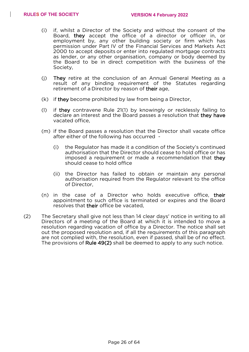- (i) if, whilst a Director of the Society and without the consent of the Board, they accept the office of a director or officer in, or employment by, any other building society or firm which has permission under Part IV of the Financial Services and Markets Act 2000 to accept deposits or enter into regulated mortgage contracts as lender, or any other organisation, company or body deemed by the Board to be in direct competition with the business of the Society,
- (j) They retire at the conclusion of an Annual General Meeting as a result of any binding requirement of the Statutes regarding retirement of a Director by reason of their age,
- (k) if they become prohibited by law from being a Director,
- (l) if they contravene Rule 21(1) by knowingly or recklessly failing to declare an interest and the Board passes a resolution that they have vacated office,
- (m) if the Board passes a resolution that the Director shall vacate office after either of the following has occurred -
	- (i) the Regulator has made it a condition of the Society's continued authorisation that the Director should cease to hold office or has imposed a requirement or made a recommendation that they should cease to hold office
	- (ii) the Director has failed to obtain or maintain any personal authorisation required from the Regulator relevant to the office of Director,
- (n) in the case of a Director who holds executive office, their appointment to such office is terminated or expires and the Board resolves that their office be vacated,
- (2) The Secretary shall give not less than 14 clear days' notice in writing to all Directors of a meeting of the Board at which it is intended to move a resolution regarding vacation of office by a Director. The notice shall set out the proposed resolution and, if all the requirements of this paragraph are not complied with, the resolution, even if passed, shall be of no effect. The provisions of Rule 49(2) shall be deemed to apply to any such notice.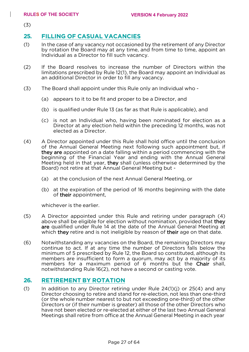(3)

### **25. FILLING OF CASUAL VACANCIES**

- (1) In the case of any vacancy not occasioned by the retirement of any Director by rotation the Board may at any time, and from time to time, appoint an Individual as a Director to fill such vacancy.
- (2) If the Board resolves to increase the number of Directors within the limitations prescribed by Rule 12(1), the Board may appoint an Individual as an additional Director in order to fill any vacancy.
- (3) The Board shall appoint under this Rule only an Individual who
	- (a) appears to it to be fit and proper to be a Director, and
	- (b) is qualified under Rule 13 (as far as that Rule is applicable), and
	- (c) is not an Individual who, having been nominated for election as a Director at any election held within the preceding 12 months, was not elected as a Director.
- (4) A Director appointed under this Rule shall hold office until the conclusion of the Annual General Meeting next following such appointment but, if they are appointed on a date falling within a period commencing with the beginning of the Financial Year and ending with the Annual General Meeting held in that year, they shall (unless otherwise determined by the Board) not retire at that Annual General Meeting but -
	- (a) at the conclusion of the next Annual General Meeting, or
	- (b) at the expiration of the period of 16 months beginning with the date of their appointment,

whichever is the earlier.

- (5) A Director appointed under this Rule and retiring under paragraph (4) above shall be eligible for election without nomination, provided that they are qualified under Rule 14 at the date of the Annual General Meeting at which they retire and is not ineligible by reason of their age on that date.
- (6) Notwithstanding any vacancies on the Board, the remaining Directors may continue to act. If at any time the number of Directors falls below the minimum of 5 prescribed by Rule 12, the Board so constituted, although its members are insufficient to form a quorum, may act by a majority of its members for a maximum period of 6 months but the Chair shall. notwithstanding Rule 16(2), not have a second or casting vote.

#### **26. RETIREMENT BY ROTATION**

(1) In addition to any Director retiring under Rule  $24(1)(i)$  or  $25(4)$  and any Director choosing to retire and stand for re-election, not less than one-third (or the whole number nearest to but not exceeding one-third) of the other Directors or (if their number is greater) all those of the other Directors who have not been elected or re-elected at either of the last two Annual General Meetings shall retire from office at the Annual General Meeting in each year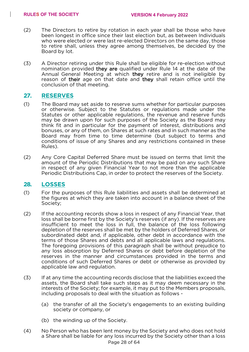- (2) The Directors to retire by rotation in each year shall be those who have been longest in office since their last election but, as between Individuals who were elected or were last re-elected Directors on the same day, those to retire shall, unless they agree among themselves, be decided by the Board by lot.
- (3) A Director retiring under this Rule shall be eligible for re-election without nomination provided they are qualified under Rule 14 at the date of the Annual General Meeting at which they retire and is not ineligible by reason of their age on that date and they shall retain office until the conclusion of that meeting.

#### **27. RESERVES**

- (1) The Board may set aside to reserve sums whether for particular purposes or otherwise. Subject to the Statutes or regulations made under the Statutes or other applicable regulations, the revenue and reserve funds may be drawn upon for such purposes of the Society as the Board may think fit and in particular for the payment of interest, distributions and bonuses, or any of them, on Shares at such rates and in such manner as the Board may from time to time determine (but subject to terms and conditions of issue of any Shares and any restrictions contained in these Rules).
- (2) Any Core Capital Deferred Share must be issued on terms that limit the amount of the Periodic Distributions that may be paid on any such Share in respect of any given Financial Year to not more than the applicable Periodic Distributions Cap, in order to protect the reserves of the Society.

#### **28. LOSSES**

- (1) For the purposes of this Rule liabilities and assets shall be determined at the figures at which they are taken into account in a balance sheet of the Society;
- (2) If the accounting records show a loss in respect of any Financial Year, that loss shall be borne first by the Society's reserves (if any). If the reserves are insufficient to meet the loss in full, the balance of the loss following depletion of the reserves shall be met by the holders of Deferred Shares, or subordinated debt and, if applicable, other debt in accordance with the terms of those Shares and debts and all applicable laws and regulations. The foregoing provisions of this paragraph shall be without prejudice to any loss absorption by Deferred Shares or debt before depletion of the reserves in the manner and circumstances provided in the terms and conditions of such Deferred Shares or debt or otherwise as provided by applicable law and regulation.
- (3) If at any time the accounting records disclose that the liabilities exceed the assets, the Board shall take such steps as it may deem necessary in the interests of the Society; for example, it may put to the Members proposals, including proposals to deal with the situation as follows -
	- (a) the transfer of all the Society's engagements to an existing building society or company, or
	- (b) the winding up of the Society.
- Page 28 of 64 (4) No Person who has been lent money by the Society and who does not hold a Share shall be liable for any loss incurred by the Society other than a loss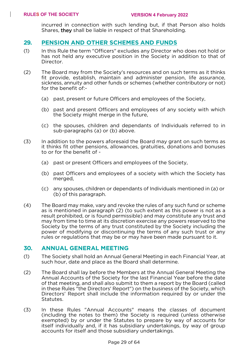incurred in connection with such lending but, if that Person also holds Shares, they shall be liable in respect of that Shareholding.

#### **29. PENSION AND OTHER SCHEMES AND FUNDS**

- (1) In this Rule the term "Officers" excludes any Director who does not hold or has not held any executive position in the Society in addition to that of Director.
- (2) The Board may from the Society's resources and on such terms as it thinks fit provide, establish, maintain and administer pension, life assurance, sickness, annuity and other funds or schemes (whether contributory or not) for the benefit of:-
	- (a) past, present or future Officers and employees of the Society,
	- (b) past and present Officers and employees of any society with which the Society might merge in the future,
	- (c) the spouses, children and dependants of Individuals referred to in sub-paragraphs (a) or (b) above.
- (3) In addition to the powers aforesaid the Board may grant on such terms as it thinks fit other pensions, allowances, gratuities, donations and bonuses to or for the benefit of -
	- (a) past or present Officers and employees of the Society,
	- (b) past Officers and employees of a society with which the Society has merged,
	- (c) any spouses, children or dependants of Individuals mentioned in (a) or (b) of this paragraph.
- (4) The Board may make, vary and revoke the rules of any such fund or scheme as is mentioned in paragraph (2) (to such extent as this power is not as a result prohibited, or is found permissible) and may constitute any trust and may from time to time at its discretion exercise any powers reserved to the Society by the terms of any trust constituted by the Society including the power of modifying or discontinuing the terms of any such trust or any rules or regulations that may be or may have been made pursuant to it.

#### **30. ANNUAL GENERAL MEETING**

- (1) The Society shall hold an Annual General Meeting in each Financial Year, at such hour, date and place as the Board shall determine.
- (2) The Board shall lay before the Members at the Annual General Meeting the Annual Accounts of the Society for the last Financial Year before the date of that meeting, and shall also submit to them a report by the Board (called in these Rules "the Directors' Report") on the business of the Society, which Directors' Report shall include the information required by or under the Statutes.
- (3) In these Rules "Annual Accounts" means the classes of document (including the notes to them) the Society is required (unless otherwise exempted) by or under the Statutes to prepare by way of accounts for itself individually and, if it has subsidiary undertakings, by way of group accounts for itself and those subsidiary undertakings.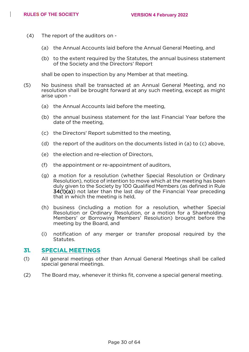- (4) The report of the auditors on
	- (a) the Annual Accounts laid before the Annual General Meeting, and
	- (b) to the extent required by the Statutes, the annual business statement of the Society and the Directors' Report

shall be open to inspection by any Member at that meeting.

- (5) No business shall be transacted at an Annual General Meeting, and no resolution shall be brought forward at any such meeting, except as might arise upon -
	- (a) the Annual Accounts laid before the meeting,
	- (b) the annual business statement for the last Financial Year before the date of the meeting,
	- (c) the Directors' Report submitted to the meeting,
	- (d) the report of the auditors on the documents listed in (a) to (c) above,
	- (e) the election and re-election of Directors,
	- (f) the appointment or re-appointment of auditors,
	- (g) a motion for a resolution (whether Special Resolution or Ordinary Resolution), notice of intention to move which at the meeting has been duly given to the Society by 100 Qualified Members (as defined in Rule 34(1)(a)) not later than the last day of the Financial Year preceding that in which the meeting is held,
	- (h) business (including a motion for a resolution, whether Special Resolution or Ordinary Resolution, or a motion for a Shareholding Members' or Borrowing Members' Resolution) brought before the meeting by the Board, and
	- (i) notification of any merger or transfer proposal required by the Statutes.

#### **31. SPECIAL MEETINGS**

- (1) All general meetings other than Annual General Meetings shall be called special general meetings.
- (2) The Board may, whenever it thinks fit, convene a special general meeting.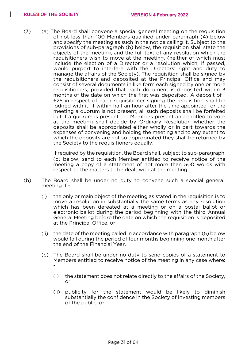(3) (a) The Board shall convene a special general meeting on the requisition of not less than 100 Members qualified under paragraph (4) below and specify the meeting as such in the notice calling it. Subject to the provisions of sub-paragraph (b) below, the requisition shall state the objects of the meeting, and the full text of any resolution which the requisitioners wish to move at the meeting, (neither of which must include the election of a Director or a resolution which, if passed, would purport to interfere with the Directors' right and duty to manage the affairs of the Society). The requisition shall be signed by the requisitioners and deposited at the Principal Office and may consist of several documents in like form each signed by one or more requisitioners, provided that each document is deposited within 3 months of the date on which the first was deposited. A deposit of £25 in respect of each requisitioner signing the requisition shall be lodged with it. If within half an hour after the time appointed for the meeting a quorum is not present, all such deposits shall be forfeited but if a quorum is present the Members present and entitled to vote at the meeting shall decide by Ordinary Resolution whether the deposits shall be appropriated either wholly or in part towards the expenses of convening and holding the meeting and to any extent to which the deposits are not so appropriated they shall be returned by the Society to the requisitioners equally.

> If required by the requisition, the Board shall, subject to sub-paragraph (c) below, send to each Member entitled to receive notice of the meeting a copy of a statement of not more than 500 words with respect to the matters to be dealt with at the meeting.

- (b) The Board shall be under no duty to convene such a special general meeting if -
	- (i) the only or main object of the meeting as stated in the requisition is to move a resolution in substantially the same terms as any resolution which has been defeated at a meeting or on a postal ballot or electronic ballot during the period beginning with the third Annual General Meeting before the date on which the requisition is deposited at the Principal Office, or
	- (ii) the date of the meeting called in accordance with paragraph (5) below would fall during the period of four months beginning one month after the end of the Financial Year.
	- (c) The Board shall be under no duty to send copies of a statement to Members entitled to receive notice of the meeting in any case where: -
		- (i) the statement does not relate directly to the affairs of the Society, or
		- (ii) publicity for the statement would be likely to diminish substantially the confidence in the Society of investing members of the public, or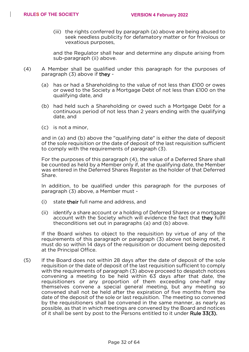(iii) the rights conferred by paragraph (a) above are being abused to seek needless publicity for defamatory matter or for frivolous or vexatious purposes,

and the Regulator shall hear and determine any dispute arising from sub-paragraph (ii) above.

- (4) A Member shall be qualified under this paragraph for the purposes of paragraph (3) above if they -
	- (a) has or had a Shareholding to the value of not less than £100 or owes or owed to the Society a Mortgage Debt of not less than £100 on the qualifying date, and
	- (b) had held such a Shareholding or owed such a Mortgage Debt for a continuous period of not less than 2 years ending with the qualifying date, and
	- (c) is not a minor,

and in (a) and (b) above the "qualifying date" is either the date of deposit of the sole requisition or the date of deposit of the last requisition sufficient to comply with the requirements of paragraph (3).

For the purposes of this paragraph (4), the value of a Deferred Share shall be counted as held by a Member only if, at the qualifying date, the Member was entered in the Deferred Shares Register as the holder of that Deferred Share.

In addition, to be qualified under this paragraph for the purposes of paragraph (3) above, a Member must -

- (i) state their full name and address, and
- (ii) identify a share account or a holding of Deferred Shares or a mortgage account with the Society which will evidence the fact that they fulfil theconditions set out in paragraphs (a) and (b) above.

If the Board wishes to object to the requisition by virtue of any of the requirements of this paragraph or paragraph (3) above not being met, it must do so within 14 days of the requisition or document being deposited at the Principal Office.

(5) If the Board does not within 28 days after the date of deposit of the sole requisition or the date of deposit of the last requisition sufficient to comply with the requirements of paragraph (3) above proceed to despatch notices convening a meeting to be held within 63 days after that date, the requisitioners or any proportion of them exceeding one-half may themselves convene a special general meeting, but any meeting so convened shall not be held after the expiration of five months from the date of the deposit of the sole or last requisition. The meeting so convened by the requisitioners shall be convened in the same manner, as nearly as possible, as that in which meetings are convened by the Board and notices of it shall be sent by post to the Persons entitled to it under Rule 33(3).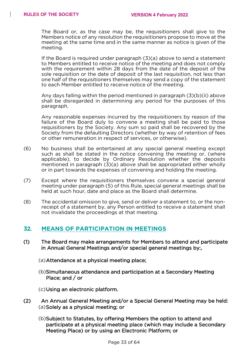The Board or, as the case may be, the requisitioners shall give to the Members notice of any resolution the requisitioners propose to move at the meeting at the same time and in the same manner as notice is given of the meeting.

If the Board is required under paragraph (3)(a) above to send a statement to Members entitled to receive notice of the meeting and does not comply with the requirement within 28 days from the date of the deposit of the sole requisition or the date of deposit of the last requisition, not less than one half of the requisitioners themselves may send a copy of the statement to each Member entitled to receive notice of the meeting.

Any days falling within the period mentioned in paragraph (3)(b)(ii) above shall be disregarded in determining any period for the purposes of this paragraph.

Any reasonable expenses incurred by the requisitioners by reason of the failure of the Board duly to convene a meeting shall be paid to those requisitioners by the Society. Any sum so paid shall be recovered by the Society from the defaulting Directors (whether by way of retention of fees or other remuneration in respect of services, or otherwise).

- (6) No business shall be entertained at any special general meeting except such as shall be stated in the notice convening the meeting or, (where applicable), to decide by Ordinary Resolution whether the deposits mentioned in paragraph (3)(a) above shall be appropriated either wholly or in part towards the expenses of convening and holding the meeting.
- (7) Except where the requisitioners themselves convene a special general meeting under paragraph (5) of this Rule, special general meetings shall be held at such hour, date and place as the Board shall determine.
- (8) The accidental omission to give, send or deliver a statement to, or the nonreceipt of a statement by, any Person entitled to receive a statement shall not invalidate the proceedings at that meeting.

#### **32. MEANS OF PARTICIPATION IN MEETINGS**

- (1) The Board may make arrangements for Members to attend and participate in Annual General Meetings and/or special general meetings by:,
	- (a)Attendance at a physical meeting place;
	- (b)Simultaneous attendance and participation at a Secondary Meeting Place; and / or

(c)Using an electronic platform.

- (2) An Annual General Meeting and/or a Special General Meeting may be held: (a)Solely as a physical meeting; or
	- (b)Subject to Statutes, by offering Members the option to attend and participate at a physical meeting place (which may include a Secondary Meeting Place) or by using an Electronic Platform; or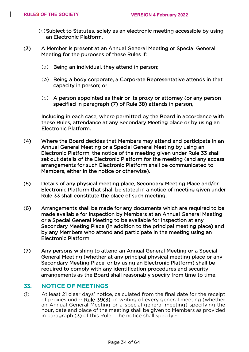- (c)Subject to Statutes, solely as an electronic meeting accessible by using an Electronic Platform.
- (3) A Member is present at an Annual General Meeting or Special General Meeting for the purposes of these Rules if:
	- (a) Being an individual, they attend in person;
	- (b) Being a body corporate, a Corporate Representative attends in that capacity in person; or
	- (c) A person appointed as their or its proxy or attorney (or any person specified in paragraph (7) of Rule 38) attends in person,

Including in each case, where permitted by the Board in accordance with these Rules, attendance at any Secondary Meeting place or by using an Electronic Platform.

- (4) Where the Board decides that Members may attend and participate in an Annual General Meeting or a Special General Meeting by using an Electronic Platform, the notice of the meeting given under Rule 33 shall set out details of the Electronic Platform for the meeting (and any access arrangements for such Electronic Platform shall be communicated to Members, either in the notice or otherwise).
- (5) Details of any physical meeting place, Secondary Meeting Place and/or Electronic Platform that shall be stated in a notice of meeting given under Rule 33 shall constitute the place of such meeting.
- (6) Arrangements shall be made for any documents which are required to be made available for inspection by Members at an Annual General Meeting or a Special General Meeting to be available for inspection at any Secondary Meeting Place (in addition to the principal meeting place) and by any Members who attend and participate in the meeting using an Electronic Platform.
- (7) Any persons wishing to attend an Annual General Meeting or a Special General Meeting (whether at any principal physical meeting place or any Secondary Meeting Place, or by using an Electronic Platform) shall be required to comply with any identification procedures and security arrangements as the Board shall reasonably specify from time to time.

#### **33. NOTICE OF MEETINGS**

(1) At least 21 clear days' notice, calculated from the final date for the receipt of proxies under Rule 39(3), in writing of every general meeting (whether an Annual General Meeting or a special general meeting) specifying the hour, date and place of the meeting shall be given to Members as provided in paragraph (3) of this Rule. The notice shall specify -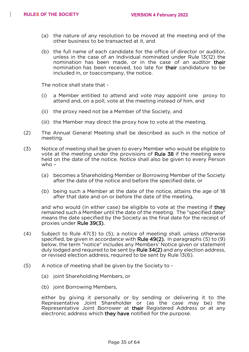- (a) the nature of any resolution to be moved at the meeting and of the other business to be transacted at it, and
- (b) the full name of each candidate for the office of director or auditor, unless in the case of an Individual nominated under Rule 13(12) the nomination has been made, or in the case of an auditor their nomination has been received, too late for their candidature to be included in, or toaccompany, the notice.

The notice shall state that -

- (i) a Member entitled to attend and vote may appoint one proxy to attend and, on a poll, vote at the meeting instead of him, and
- (ii) the proxy need not be a Member of the Society, and
- (iii) the Member may direct the proxy how to vote at the meeting.
- (2) The Annual General Meeting shall be described as such in the notice of meeting.
- (3) Notice of meeting shall be given to every Member who would be eligible to vote at the meeting under the provisions of Rule 38 if the meeting were held on the date of the notice. Notice shall also be given to every Person who –
	- (a) becomes a Shareholding Member or Borrowing Member of the Society after the date of the notice and before the specified date, or
	- (b) being such a Member at the date of the notice, attains the age of 18 after that date and on or before the date of the meeting,

and who would (in either case) be eligible to vote at the meeting if they remained such a Member until the date of the meeting. The "specified date" means the date specified by the Society as the final date for the receipt of proxies under Rule 39(3).

- (4) Subject to Rule 47(3) to (5), a notice of meeting shall, unless otherwise specified, be given in accordance with Rule 49(2). In paragraphs (5) to (9) below, the term "notice" includes any Members' Notice given or statement duly lodged and required to be sent by Rule 34(2) and any election address, or revised election address, required to be sent by Rule 13(6).
- (5) A notice of meeting shall be given by the Society to
	- (a) joint Shareholding Members, or
	- (b) joint Borrowing Members,

either by giving it personally or by sending or delivering it to the Representative Joint Shareholder or (as the case may be) the Representative Joint Borrower at their Registered Address or at any electronic address which they have notified for the purpose.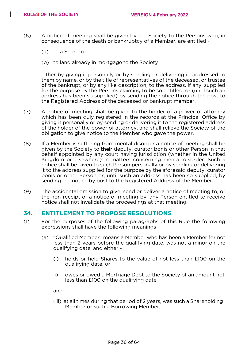- (6) A notice of meeting shall be given by the Society to the Persons who, in consequence of the death or bankruptcy of a Member, are entitled -
	- (a) to a Share, or
	- (b) to land already in mortgage to the Society

either by giving it personally or by sending or delivering it, addressed to them by name, or by the title of representatives of the deceased, or trustee of the bankrupt, or by any like description, to the address, if any, supplied for the purpose by the Persons claiming to be so entitled, or (until such an address has been so supplied) by sending the notice through the post to the Registered Address of the deceased or bankrupt member.

- (7) A notice of meeting shall be given to the holder of a power of attorney which has been duly registered in the records at the Principal Office by giving it personally or by sending or delivering it to the registered address of the holder of the power of attorney, and shall relieve the Society of the obligation to give notice to the Member who gave the power.
- (8) If a Member is suffering from mental disorder a notice of meeting shall be given by the Society to their deputy, curator bonis or other Person in that behalf appointed by any court having jurisdiction (whether in the United Kingdom or elsewhere) in matters concerning mental disorder. Such a notice shall be given to such Person personally or by sending or delivering it to the address supplied for the purpose by the aforesaid deputy, curator bonis or other Person or, until such an address has been so supplied, by sending the notice by post to the Registered Address of the Member.
- (9) The accidental omission to give, send or deliver a notice of meeting to, or the non-receipt of a notice of meeting by, any Person entitled to receive notice shall not invalidate the proceedings at that meeting.

#### **34. ENTITLEMENT TO PROPOSE RESOLUTIONS**

- (1) For the purposes of the following paragraphs of this Rule the following expressions shall have the following meanings –
	- (a) "Qualified Member" means a Member who has been a Member for not less than 2 years before the qualifying date, was not a minor on the qualifying date, and either -
		- (i) holds or held Shares to the value of not less than £100 on the qualifying date, or
		- ii) owes or owed a Mortgage Debt to the Society of an amount not less than £100 on the qualifying date

and

(iii) at all times during that period of 2 years, was such a Shareholding Member or such a Borrowing Member,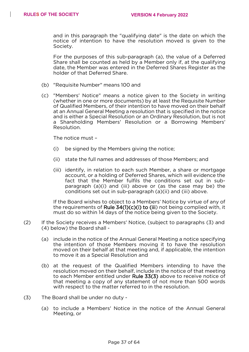and in this paragraph the "qualifying date" is the date on which the notice of intention to have the resolution moved is given to the Society.

For the purposes of this sub-paragraph (a), the value of a Deferred Share shall be counted as held by a Member only if, at the qualifying date, the Member was entered in the Deferred Shares Register as the holder of that Deferred Share.

- (b) "Requisite Number" means 100 and
- (c) "Members' Notice" means a notice given to the Society in writing (whether in one or more documents) by at least the Requisite Number of Qualified Members, of their intention to have moved on their behalf at an Annual General Meeting a resolution that is specified in the notice and is either a Special Resolution or an Ordinary Resolution, but is not a Shareholding Members' Resolution or a Borrowing Members' Resolution.

The notice must –

- (i) be signed by the Members giving the notice;
- (ii) state the full names and addresses of those Members; and
- (iii) identify, in relation to each such Member, a share or mortgage account, or a holding of Deferred Shares, which will evidence the fact that the Member fulfils the conditions set out in subparagraph (a)(i) and (iii) above or (as the case may be) the conditions set out in sub-paragraph (a)(ii) and (iii) above.

If the Board wishes to object to a Members' Notice by virtue of any of the requirements of Rule 34(1)(c)(i) to (iii) not being complied with, it must do so within 14 days of the notice being given to the Society.

- (2) If the Society receives a Members' Notice, (subject to paragraphs (3) and (4) below) the Board shall -
	- (a) include in the notice of the Annual General Meeting a notice specifying the intention of those Members moving it to have the resolution moved on their behalf at that meeting and, if applicable, the intention to move it as a Special Resolution and
	- (b) at the request of the Qualified Members intending to have the resolution moved on their behalf, include in the notice of that meeting to each Member entitled under Rule 33(3) above to receive notice of that meeting a copy of any statement of not more than 500 words with respect to the matter referred to in the resolution.
- (3) The Board shall be under no duty
	- (a) to include a Members' Notice in the notice of the Annual General Meeting, or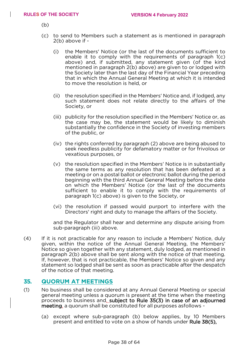(b)

- (c) to send to Members such a statement as is mentioned in paragraph 2(b) above if -
	- (i) the Members' Notice (or the last of the documents sufficient to enable it to comply with the requirements of paragraph 1(c) above) and, if submitted, any statement given (of the kind mentioned in paragraph 2(b) above) are given to or lodged with the Society later than the last day of the Financial Year preceding that in which the Annual General Meeting at which it is intended to move the resolution is held, or
	- (ii) the resolution specified in the Members' Notice and, if lodged, any such statement does not relate directly to the affairs of the Society, or
	- (iii) publicity for the resolution specified in the Members' Notice or, as the case may be, the statement would be likely to diminish substantially the confidence in the Society of investing members of the public, or
	- (iv) the rights conferred by paragraph (2) above are being abused to seek needless publicity for defamatory matter or for frivolous or vexatious purposes, or
	- (v) the resolution specified in the Members' Notice is in substantially the same terms as any resolution that has been defeated at a meeting or on a postal ballot or electronic ballot during the period beginning with the third Annual General Meeting before the date on which the Members' Notice (or the last of the documents sufficient to enable it to comply with the requirements of paragraph 1(c) above) is given to the Society, or
	- (vi) the resolution if passed would purport to interfere with the Directors' right and duty to manage the affairs of the Society.

and the Regulator shall hear and determine any dispute arising from sub-paragraph (iii) above.

(4) If it is not practicable for any reason to include a Members' Notice, duly given, within the notice of the Annual General Meeting, the Members' Notice so given together with any statement, duly lodged, as mentioned in paragraph 2(b) above shall be sent along with the notice of that meeting. If, however, that is not practicable, the Members' Notice so given and any statement so lodged shall be sent as soon as practicable after the despatch of the notice of that meeting.

#### **35. QUORUM AT MEETINGS**

- (1) No business shall be considered at any Annual General Meeting or special general meeting unless a quorum is present at the time when the meeting proceeds to business and, subject to Rule 35(3) in case of an adjourned meeting, a quorum shall be constituted for all purposes asfollows -
	- (a) except where sub-paragraph (b) below applies, by 10 Members present and entitled to vote on a show of hands under Rule 38(5),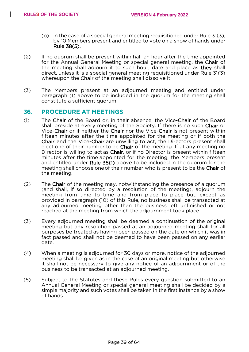- (b) in the case of a special general meeting requisitioned under Rule 31(3), by 10 Members present and entitled to vote on a show of hands under Rule 38(5).
- (2) If no quorum shall be present within half an hour after the time appointed for the Annual General Meeting or special general meeting, the Chair of the meeting shall adjourn it to such hour, date and place as they shall direct, unless it is a special general meeting requisitioned under Rule 31(3) whereupon the Chair of the meeting shall dissolve it.
- (3) The Members present at an adjourned meeting and entitled under paragraph (1) above to be included in the quorum for the meeting shall constitute a sufficient quorum.

#### **36. PROCEDURE AT MEETINGS**

- (1) The Chair of the Board or, in their absence, the Vice-Chair of the Board shall preside at every meeting of the Society. If there is no such Chair or Vice-Chair or if neither the Chair nor the Vice-Chair is not present within fifteen minutes after the time appointed for the meeting or if both the Chair and the Vice-Chair are unwilling to act, the Directors present shall elect one of their number to be **Chair** of the meeting. If at any meeting no Director is willing to act as Chair, or if no Director is present within fifteen minutes after the time appointed for the meeting, the Members present and entitled under Rule 35(1) above to be included in the quorum for the meeting shall choose one of their number who is present to be the Chair of the meeting.
- (2) The Chair of the meeting may, notwithstanding the presence of a quorum (and shall, if so directed by a resolution of the meeting), adjourn the meeting from time to time and from place to place but, except as provided in paragraph (10) of this Rule, no business shall be transacted at any adjourned meeting other than the business left unfinished or not reached at the meeting from which the adjournment took place.
- (3) Every adjourned meeting shall be deemed a continuation of the original meeting but any resolution passed at an adjourned meeting shall for all purposes be treated as having been passed on the date on which it was in fact passed and shall not be deemed to have been passed on any earlier date.
- (4) When a meeting is adjourned for 30 days or more, notice of the adjourned meeting shall be given as in the case of an original meeting but otherwise it shall not be necessary to give any notice of an adjournment or of the business to be transacted at an adjourned meeting.
- (5) Subject to the Statutes and these Rules every question submitted to an Annual General Meeting or special general meeting shall be decided by a simple majority and such votes shall be taken in the first instance by a show of hands.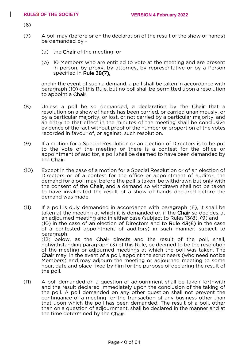(6)

- (7) A poll may (before or on the declaration of the result of the show of hands) be demanded by -
	- (a) the Chair of the meeting, or
	- (b) 10 Members who are entitled to vote at the meeting and are present in person, by proxy, by attorney, by representative or by a Person specified in Rule 38(7),

and in the event of such a demand, a poll shall be taken in accordance with paragraph (10) of this Rule, but no poll shall be permitted upon a resolution to appoint a Chair.

- (8) Unless a poll be so demanded, a declaration by the Chair that a resolution on a show of hands has been carried, or carried unanimously, or by a particular majority, or lost, or not carried by a particular majority, and an entry to that effect in the minutes of the meeting shall be conclusive evidence of the fact without proof of the number or proportion of the votes recorded in favour of, or against, such resolution.
- (9) If a motion for a Special Resolution or an election of Directors is to be put to the vote of the meeting or there is a contest for the office or appointment of auditor, a poll shall be deemed to have been demanded by the Chair.
- (10) Except in the case of a motion for a Special Resolution or of an election of Directors or of a contest for the office or appointment of auditor, the demand for a poll may, before the poll is taken, be withdrawn but only with the consent of the Chair, and a demand so withdrawn shall not be taken to have invalidated the result of a show of hands declared before the demand was made.
- (11) If a poll is duly demanded in accordance with paragraph (6), it shall be taken at the meeting at which it is demanded or, if the Chair so decides, at an adjourned meeting and in either case (subject to Rules 13(8), (9) and (10) in the case of an election of Directors and to Rule 43(6) in the case of a contested appointment of auditors) in such manner, subject to paragraph (12) below, as the Chair directs and the result of the poll, shall, notwithstanding paragraph (3) of this Rule, be deemed to be the resolution of the meeting or adjourned meetings at which the poll was taken. The Chair may, in the event of a poll, appoint the scrutineers (who need not be Members) and may adjourn the meeting or adjourned meeting to some hour, date and place fixed by him for the purpose of declaring the result of the poll.
- (11) A poll demanded on a question of adjournment shall be taken forthwith and the result declared immediately upon the conclusion of the taking of the poll. A poll demanded on any other question shall not prevent the continuance of a meeting for the transaction of any business other than that upon which the poll has been demanded. The result of a poll, other than on a question of adjournment, shall be declared in the manner and at the time determined by the Chair.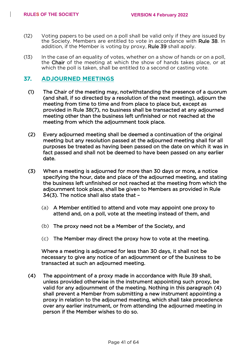- (12) Voting papers to be used on a poll shall be valid only if they are issued by the Society. Members are entitled to vote in accordance with Rule 38. In addition, if the Member is voting by proxy, Rule 39 shall apply.
- (13) In the case of an equality of votes, whether on a show of hands or on a poll, the Chair of the meeting at which the show of hands takes place, or at which the poll is taken, shall be entitled to a second or casting vote.

#### **37. ADJOURNED MEETINGS**

- (1) The Chair of the meeting may, notwithstanding the presence of a quorum (and shall, if so directed by a resolution of the next meeting), adjourn the meeting from time to time and from place to place but, except as provided in Rule 38(7), no business shall be transacted at any adjourned meeting other than the business left unfinished or not reached at the meeting from which the adjournment took place.
- (2) Every adjourned meeting shall be deemed a continuation of the original meeting but any resolution passed at the adjourned meeting shall for all purposes be treated as having been passed on the date on which it was in fact passed and shall not be deemed to have been passed on any earlier date.
- (3) When a meeting is adjourned for more than 30 days or more, a notice specifying the hour, date and place of the adjourned meeting, and stating the business left unfinished or not reached at the meeting from which the adjournment took place, shall be given to Members as provided in Rule 34(3). The notice shall also state that –
	- (a) A Member entitled to attend and vote may appoint one proxy to attend and, on a poll, vote at the meeting instead of them, and
	- (b) The proxy need not be a Member of the Society, and
	- (c) The Member may direct the proxy how to vote at the meeting.

Where a meeting is adjourned for less than 30 days, it shall not be necessary to give any notice of an adjournment or of the business to be transacted at such an adjourned meeting.

(4) The appointment of a proxy made in accordance with Rule 39 shall, unless provided otherwise in the instrument appointing such proxy, be valid for any adjournment of the meeting. Nothing in this paragraph (4) shall prevent a Member from submitting a new instrument appointing a proxy in relation to the adjourned meeting, which shall take precedence over any earlier instrument, or from attending the adjourned meeting in person if the Member wishes to do so.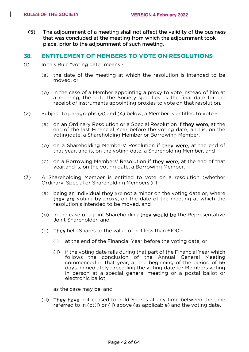(5) The adjournment of a meeting shall not affect the validity of the business that was concluded at the meeting from which the adjournment took place, prior to the adjournment of such meeting.

#### **38. ENTITLEMENT OF MEMBERS TO VOTE ON RESOLUTIONS**

- (1) In this Rule "voting date" means
	- (a) the date of the meeting at which the resolution is intended to be moved, or
	- (b) in the case of a Member appointing a proxy to vote instead of him at a meeting, the date the Society specifies as the final date for the receipt of instruments appointing proxies to vote on that resolution.
- (2) Subject to paragraphs (3) and (4) below, a Member is entitled to vote
	- (a) on an Ordinary Resolution or a Special Resolution if they were, at the end of the last Financial Year before the voting date, and is, on the votingdate, a Shareholding Member or Borrowing Member,
	- (b) on a Shareholding Members' Resolution if they were, at the end of that year, and is, on the voting date, a Shareholding Member, and
	- (c) on a Borrowing Members' Resolution if they were, at the end of that year,and is, on the voting date, a Borrowing Member.
- (3) A Shareholding Member is entitled to vote on a resolution (whether Ordinary, Special or Shareholding Members') if -
	- (a) being an Individual they are not a minor on the voting date or, where they are voting by proxy, on the date of the meeting at which the resolutionis intended to be moved, and
	- (b) in the case of a joint Shareholding they would be the Representative Joint Shareholder, and
	- (c) They held Shares to the value of not less than £100
		- (i) at the end of the Financial Year before the voting date, or
		- (ii) if the voting date falls during that part of the Financial Year which follows the conclusion of the Annual General Meeting commenced in that year, at the beginning of the period of 56 days immediately preceding the voting date for Members voting in person at a special general meeting or a postal ballot or electronic ballot,

as the case may be, and

(d) They have not ceased to hold Shares at any time between the time referred to in (c)(i) or (ii) above (as applicable) and the voting date.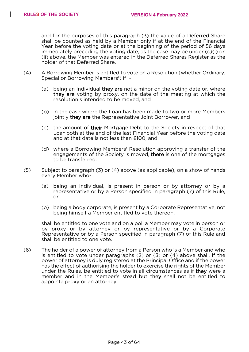and for the purposes of this paragraph (3) the value of a Deferred Share shall be counted as held by a Member only if at the end of the Financial Year before the voting date or at the beginning of the period of 56 days immediately preceding the voting date, as the case may be under (c)(i) or (ii) above, the Member was entered in the Deferred Shares Register as the holder of that Deferred Share.

- (4) A Borrowing Member is entitled to vote on a Resolution (whether Ordinary, Special or Borrowing Members') if -
	- (a) being an Individual they are not a minor on the voting date or, where they are voting by proxy, on the date of the meeting at which the resolutionis intended to be moved, and
	- (b) in the case where the Loan has been made to two or more Members jointly they are the Representative Joint Borrower, and
	- (c) the amount of their Mortgage Debt to the Society in respect of that Loanboth at the end of the last Financial Year before the voting date and at that date is not less than £100, and
	- (d) where a Borrowing Members' Resolution approving a transfer of the engagements of the Society is moved, there is one of the mortgages to be transferred.
- (5) Subject to paragraph (3) or (4) above (as applicable), on a show of hands every Member who-
	- (a) being an Individual, is present in person or by attorney or by a representative or by a Person specified in paragraph (7) of this Rule, or
	- (b) being a body corporate, is present by a Corporate Representative, not being himself a Member entitled to vote thereon,

shall be entitled to one vote and on a poll a Member may vote in person or by proxy or by attorney or by representative or by a Corporate Representative or by a Person specified in paragraph (7) of this Rule and shall be entitled to one vote.

(6) The holder of a power of attorney from a Person who is a Member and who is entitled to vote under paragraphs (2) or (3) or (4) above shall, if the power of attorney is duly registered at the Principal Office and if the power has the effect of authorising the holder to exercise the rights of the Member under the Rules, be entitled to vote in all circumstances as if they were a member and in the Member's stead but they shall not be entitled to appointa proxy or an attorney.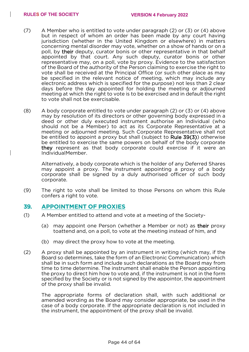- (7) A Member who is entitled to vote under paragraph (2) or (3) or (4) above but in respect of whom an order has been made by any court having jurisdiction (whether in the United Kingdom or elsewhere) in matters concerning mental disorder may vote, whether on a show of hands or on a poll, by their deputy, curator bonis or other representative in that behalf appointed by that court. Any such deputy, curator bonis or other representative may, on a poll, vote by proxy. Evidence to the satisfaction of the Board of the authority of the Person claiming to exercise the right to vote shall be received at the Principal Office (or such other place as may be specified in the relevant notice of meeting, which may include any electronic address which is specified for the purpose) not less than 2 clear days before the day appointed for holding the meeting or adjourned meeting at which the right to vote is to be exercised and in default the right to vote shall not be exercisable.
- (8) A body corporate entitled to vote under paragraph (2) or (3) or (4) above may by resolution of its directors or other governing body expressed in a deed or other duly executed instrument authorise an Individual (who should not be a Member) to act as its Corporate Representative at a meeting or adjourned meeting. Such Corporate Representative shall not be entitled to appoint a proxy but shall (subject to Rule 39(3)) otherwise be entitled to exercise the same powers on behalf of the body corporate they represent as that body corporate could exercise if it were an IndividualMember.

Alternatively, a body corporate which is the holder of any Deferred Shares may appoint a proxy. The instrument appointing a proxy of a body corporate shall be signed by a duly authorised officer of such body corporate.

(9) The right to vote shall be limited to those Persons on whom this Rule confers a right to vote.

#### **39. APPOINTMENT OF PROXIES**

- (1) A Member entitled to attend and vote at a meeting of the Society-
	- (a) may appoint one Person (whether a Member or not) as their proxy toattend and, on a poll, to vote at the meeting instead of him, and
	- (b) may direct the proxy how to vote at the meeting.
- (2) A proxy shall be appointed by an instrument in writing (which may, if the Board so determines, take the form of an Electronic Communication) which shall be in such form and include such declarations as the Board may from time to time determine. The instrument shall enable the Person appointing the proxy to direct him how to vote and, if the instrument is not in the form specified by the Society or is not signed by the appointor, the appointment of the proxy shall be invalid.

The appropriate forms of declaration shall, with such additional or amended wording as the Board may consider appropriate, be used in the case of a body corporate. If the appropriate declaration is not included in the instrument, the appointment of the proxy shall be invalid.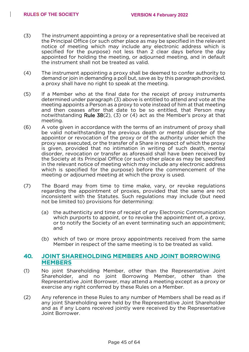- (3) The instrument appointing a proxy or a representative shall be received at the Principal Office (or such other place as may be specified in the relevant notice of meeting which may include any electronic address which is specified for the purpose) not less than 2 clear days before the day appointed for holding the meeting, or adjourned meeting, and in default the instrument shall not be treated as valid.
- (4) The instrument appointing a proxy shall be deemed to confer authority to demand or join in demanding a poll but, save as by this paragraph provided, a proxy shall have no right to speak at the meeting.
- (5) If a Member who at the final date for the receipt of proxy instruments determined under paragraph (3) above is entitled to attend and vote at the meeting appoints a Person as a proxy to vote instead of him at that meeting and then ceases after that date to be so entitled, that Person may notwithstanding Rule 38(2), (3) or (4) act as the Member's proxy at that meeting.
- (6) A vote given in accordance with the terms of an instrument of proxy shall be valid notwithstanding the previous death or mental disorder of the appointor or revocation of the proxy or of the authority under which the proxy was executed, or the transfer of a Share in respect of which the proxy is given, provided that no intimation in writing of such death, mental disorder, revocation or transfer as aforesaid shall have been received by the Society at its Principal Office (or such other place as may be specified in the relevant notice of meeting which may include any electronic address which is specified for the purpose) before the commencement of the meeting or adjourned meeting at which the proxy is used.
- (7) The Board may from time to time make, vary, or revoke regulations regarding the appointment of proxies, provided that the same are not inconsistent with the Statutes. Such regulations may include (but need not be limited to) provisions for determining:
	- (a) the authenticity and time of receipt of any Electronic Communication which purports to appoint, or to revoke the appointment of, a proxy, or to notify the Society of an event terminating such an appointment; and
	- (b) which of two or more proxy appointments received from the same Member in respect of the same meeting is to be treated as valid.

#### **40. JOINT SHAREHOLDING MEMBERS AND JOINT BORROWING MEMBERS**

- (1) No joint Shareholding Member, other than the Representative Joint Shareholder, and no joint Borrowing Member, other than the Representative Joint Borrower, may attend a meeting except as a proxy or exercise any right conferred by these Rules on a Member.
- (2) Any reference in these Rules to any number of Members shall be read as if any joint Shareholding were held by the Representative Joint Shareholder and as if any Loans received jointly were received by the Representative Joint Borrower.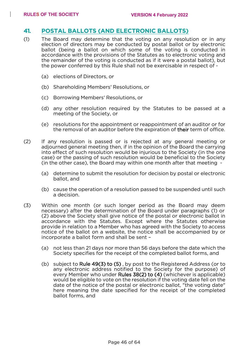#### **41. POSTAL BALLOTS (AND ELECTRONIC BALLOTS)**

- (1) The Board may determine that the voting on any resolution or in any election of directors may be conducted by postal ballot or by electronic ballot (being a ballot on which some of the voting is conducted in accordance with the provisions of the Statutes as to electronic voting and the remainder of the voting is conducted as if it were a postal ballot), but the power conferred by this Rule shall not be exercisable in respect of -
	- (a) elections of Directors, or
	- (b) Shareholding Members' Resolutions, or
	- (c) Borrowing Members' Resolutions, or
	- (d) any other resolution required by the Statutes to be passed at a meeting of the Society, or
	- (e) resolutions for the appointment or reappointment of an auditor or for the removal of an auditor before the expiration of their term of office.
- (2) If any resolution is passed or is rejected at any general meeting or adjourned general meeting then, if in the opinion of the Board the carrying into effect of such resolution would be injurious to the Society (in the one case) or the passing of such resolution would be beneficial to the Society (in the other case), the Board may within one month after that meeting -
	- (a) determine to submit the resolution for decision by postal or electronic ballot, and
	- (b) cause the operation of a resolution passed to be suspended until such a decision.
- (3) Within one month (or such longer period as the Board may deem necessary) after the determination of the Board under paragraphs (1) or (2) above the Society shall give notice of the postal or electronic ballot in accordance with the Statutes. Except where the Statutes otherwise provide in relation to a Member who has agreed with the Society to access notice of the ballot on a website, the notice shall be accompanied by or incorporate a ballot form and shall be sent –
	- (a) not less than 21 days nor more than 56 days before the date which the Society specifies for the receipt of the completed ballot forms, and
	- (b) subject to Rule 49(3) to (5) , by post to the Registered Address (or to any electronic address notified to the Society for the purpose) of every Member who under Rules 38(2) to (4) (whichever is applicable) would be eligible to vote on the resolution if the voting date fell on the date of the notice of the postal or electronic ballot, "the voting date" here meaning the date specified for the receipt of the completed ballot forms, and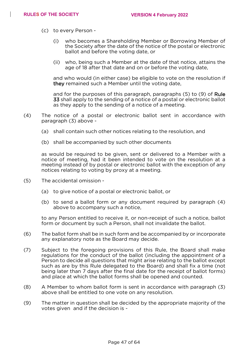- (c) to every Person
	- (i) who becomes a Shareholding Member or Borrowing Member of the Society after the date of the notice of the postal or electronic ballot and before the voting date, or
	- (ii) who, being such a Member at the date of that notice, attains the age of 18 after that date and on or before the voting date,

and who would (in either case) be eligible to vote on the resolution if they remained such a Member until the voting date,

and for the purposes of this paragraph, paragraphs (5) to (9) of Rule 33 shall apply to the sending of a notice of a postal or electronic ballot as they apply to the sending of a notice of a meeting.

- (4) The notice of a postal or electronic ballot sent in accordance with paragraph (3) above -
	- (a) shall contain such other notices relating to the resolution, and
	- (b) shall be accompanied by such other documents

as would be required to be given, sent or delivered to a Member with a notice of meeting, had it been intended to vote on the resolution at a meeting instead of by postal or electronic ballot with the exception of any notices relating to voting by proxy at a meeting.

- (5) The accidental omission
	- (a) to give notice of a postal or electronic ballot, or
	- (b) to send a ballot form or any document required by paragraph (4) above to accompany such a notice,

to any Person entitled to receive it, or non-receipt of such a notice, ballot form or document by such a Person, shall not invalidate the ballot.

- (6) The ballot form shall be in such form and be accompanied by or incorporate any explanatory note as the Board may decide.
- (7) Subject to the foregoing provisions of this Rule, the Board shall make regulations for the conduct of the ballot (including the appointment of a Person to decide all questions that might arise relating to the ballot except such as are by this Rule delegated to the Board) and shall fix a time (not being later than 7 days after the final date for the receipt of ballot forms) and place at which the ballot forms shall be opened and counted.
- (8) A Member to whom ballot form is sent in accordance with paragraph (3) above shall be entitled to one vote on any resolution.
- (9) The matter in question shall be decided by the appropriate majority of the votes given and if the decision is -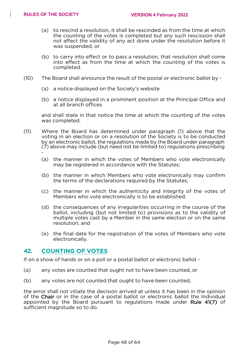- (a) to rescind a resolution, it shall be rescinded as from the time at which the counting of the votes is completed but any such rescission shall not affect the validity of any act done under the resolution before it was suspended, or
- (b) to carry into effect or to pass a resolution, that resolution shall come into effect as from the time at which the counting of the votes is completed.
- (10) The Board shall announce the result of the postal or electronic ballot by
	- (a) a notice displayed on the Society's website
	- (b) a notice displayed in a prominent position at the Principal Office and at all branch offices

and shall state in that notice the time at which the counting of the votes was completed.

- (11) Where the Board has determined under paragraph (1) above that the voting in an election or on a resolution of the Society is to be conducted by an electronic ballot, the regulations made by the Board under paragraph (7) above may include (but need not be limited to) regulations prescribing -
	- (a) the manner in which the votes of Members who vote electronically may be registered in accordance with the Statutes;
	- (b) the manner in which Members who vote electronically may confirm the terms of the declarations required by the Statutes;
	- (c) the manner in which the authenticity and integrity of the votes of Members who vote electronically is to be established;
	- (d) the consequences of any irregularities occurring in the course of the ballot, including (but not limited to) provisions as to the validity of multiple votes cast by a Member in the same election or on the same resolution; and
	- (e) the final date for the registration of the votes of Members who vote electronically.

#### **42. COUNTING OF VOTES**

If on a show of hands or on a poll or a postal ballot or electronic ballot -

- (a) any votes are counted that ought not to have been counted, or
- (b) any votes are not counted that ought to have been counted,

the error shall not vitiate the decision arrived at unless it has been in the opinion of the Chair or in the case of a postal ballot or electronic ballot the Individual appointed by the Board pursuant to regulations made under Rule 41(7) of sufficient magnitude so to do.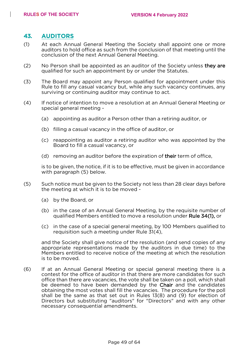#### **43. AUDITORS**

- (1) At each Annual General Meeting the Society shall appoint one or more auditors to hold office as such from the conclusion of that meeting until the conclusion of the next Annual General Meeting.
- (2) No Person shall be appointed as an auditor of the Society unless they are qualified for such an appointment by or under the Statutes.
- (3) The Board may appoint any Person qualified for appointment under this Rule to fill any casual vacancy but, while any such vacancy continues, any surviving or continuing auditor may continue to act.
- (4) If notice of intention to move a resolution at an Annual General Meeting or special general meeting -
	- (a) appointing as auditor a Person other than a retiring auditor, or
	- (b) filling a casual vacancy in the office of auditor, or
	- (c) reappointing as auditor a retiring auditor who was appointed by the Board to fill a casual vacancy, or
	- (d) removing an auditor before the expiration of their term of office,

is to be given, the notice, if it is to be effective, must be given in accordance with paragraph (5) below.

- (5) Such notice must be given to the Society not less than 28 clear days before the meeting at which it is to be moved -
	- (a) by the Board, or
	- (b) in the case of an Annual General Meeting, by the requisite number of qualified Members entitled to move a resolution under Rule 34(1), or
	- (c) in the case of a special general meeting, by 100 Members qualified to requisition such a meeting under Rule 31(4),

and the Society shall give notice of the resolution (and send copies of any appropriate representations made by the auditors in due time) to the Members entitled to receive notice of the meeting at which the resolution is to be moved.

(6) If at an Annual General Meeting or special general meeting there is a contest for the office of auditor in that there are more candidates for such office than there are vacancies, the vote shall be taken on a poll, which shall be deemed to have been demanded by the Chair and the candidates obtaining the most votes shall fill the vacancies. The procedure for the poll shall be the same as that set out in Rules 13(8) and (9) for election of Directors but substituting "auditors" for "Directors" and with any other necessary consequential amendments.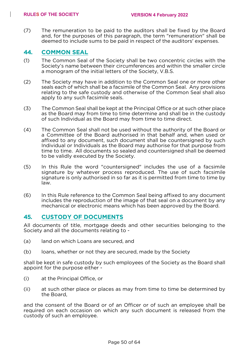(7) The remuneration to be paid to the auditors shall be fixed by the Board and, for the purposes of this paragraph, the term "remuneration" shall be deemed to include sums to be paid in respect of the auditors' expenses.

#### **44. COMMON SEAL**

- (1) The Common Seal of the Society shall be two concentric circles with the Society's name between their circumferences and within the smaller circle a monogram of the initial letters of the Society, V.B.S.
- (2) The Society may have in addition to the Common Seal one or more other seals each of which shall be a facsimile of the Common Seal. Any provisions relating to the safe custody and otherwise of the Common Seal shall also apply to any such facsimile seals.
- (3) The Common Seal shall be kept at the Principal Office or at such other place as the Board may from time to time determine and shall be in the custody of such Individual as the Board may from time to time direct.
- (4) The Common Seal shall not be used without the authority of the Board or a Committee of the Board authorised in that behalf and, when used or affixed to any document, such document shall be countersigned by such Individual or Individuals as the Board may authorise for that purpose from time to time. All documents so sealed and countersigned shall be deemed to be validly executed by the Society.
- (5) In this Rule the word "countersigned" includes the use of a facsimile signature by whatever process reproduced. The use of such facsimile signature is only authorised in so far as it is permitted from time to time by law.
- (6) In this Rule reference to the Common Seal being affixed to any document includes the reproduction of the image of that seal on a document by any mechanical or electronic means which has been approved by the Board.

#### **45. CUSTODY OF DOCUMENTS**

All documents of title, mortgage deeds and other securities belonging to the Society and all the documents relating to -

- (a) land on which Loans are secured, and
- (b) loans, whether or not they are secured, made by the Society

shall be kept in safe custody by such employees of the Society as the Board shall appoint for the purpose either -

- (i) at the Principal Office, or
- (ii) at such other place or places as may from time to time be determined by the Board,

and the consent of the Board or of an Officer or of such an employee shall be required on each occasion on which any such document is released from the custody of such an employee.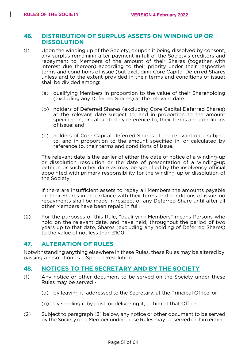#### **46. DISTRIBUTION OF SURPLUS ASSETS ON WINDING UP OR DISSOLUTION**

- (1) Upon the winding up of the Society, or upon it being dissolved by consent, any surplus remaining after payment in full of the Society's creditors and repayment to Members of the amount of their Shares (together with interest due thereon) according to their priority under their respective terms and conditions of issue (but excluding Core Capital Deferred Shares unless and to the extent provided in their terms and conditions of issue) shall be divided among:
	- (a) qualifying Members in proportion to the value of their Shareholding (excluding any Deferred Shares) at the relevant date.
	- (b) holders of Deferred Shares (excluding Core Capital Deferred Shares) at the relevant date subject to, and in proportion to the amount specified in, or calculated by reference to, their terms and conditions of issue; and
	- (c) holders of Core Capital Deferred Shares at the relevant date subject to, and in proportion to the amount specified in, or calculated by reference to, their terms and conditions of issue.

The relevant date is the earlier of either the date of notice of a winding-up or dissolution resolution or the date of presentation of a winding-up petition or such other date as may be specified by the insolvency official appointed with primary responsibility for the winding-up or dissolution of the Society.

If there are insufficient assets to repay all Members the amounts payable on their Shares in accordance with their terms and conditions of issue, no repayments shall be made in respect of any Deferred Share until after all other Members have been repaid in full.

(2) For the purposes of this Rule, "qualifying Members" means Persons who hold on the relevant date, and have held, throughout the period of two years up to that date, Shares (excluding any holding of Deferred Shares) to the value of not less than £100.

#### **47. ALTERATION OF RULES**

Notwithstanding anything elsewhere in these Rules, these Rules may be altered by passing a resolution as a Special Resolution.

#### **48. NOTICES TO THE SECRETARY AND BY THE SOCIETY**

- (1) Any notice or other document to be served on the Society under these Rules may be served -
	- (a) by leaving it, addressed to the Secretary, at the Principal Office, or
	- (b) by sending it by post, or delivering it, to him at that Office,
- (2) Subject to paragraph (3) below, any notice or other document to be served by the Society on a Member under these Rules may be served on him either: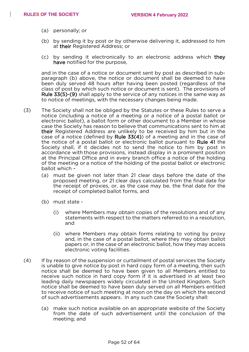- (a) personally; or
- (b) by sending it by post or by otherwise delivering it, addressed to him at their Registered Address; or
- (c) by sending it electronically to an electronic address which they have notified for the purpose,

and in the case of a notice or document sent by post as described in subparagraph (b) above, the notice or document shall be deemed to have been duly served 48 hours after having been posted (regardless of the class of post by which such notice or document is sent). The provisions of Rule 33(5)-(9) shall apply to the service of any notices in the same way as to notice of meetings, with the necessary changes being made.

- (3) The Society shall not be obliged by the Statutes or these Rules to serve a notice (including a notice of a meeting or a notice of a postal ballot or electronic ballot), a ballot form or other document to a Member in whose case the Society has reason to believe that communications sent to him at their Registered Address are unlikely to be received by him but in the case of a notice (defined by Rule 33(4)) of a meeting and in the case of the notice of a postal ballot or electronic ballot pursuant to Rule 41 the Society shall, if it decides not to send the notice to him by post in accordance with those provisions, instead display in a prominent position at the Principal Office and in every branch office a notice of the holding of the meeting or a notice of the holding of the postal ballot or electronic ballot which –
	- (a) must be given not later than 21 clear days before the date of the proposed meeting, or 21 clear days calculated from the final date for the receipt of proxies, or, as the case may be, the final date for the receipt of completed ballot forms, and
	- (b) must state
		- (i) where Members may obtain copies of the resolutions and of any statements with respect to the matters referred to in a resolution, and
		- (ii) where Members may obtain forms relating to voting by proxy and, in the case of a postal ballot, where they may obtain ballot papers or, in the case of an electronic ballot, how they may access electronic voting facilities.
- (4) If by reason of the suspension or curtailment of postal services the Society is unable to give notice by post in hard copy form of a meeting, then such notice shall be deemed to have been given to all Members entitled to receive such notice in hard copy form if it is advertised in at least two leading daily newspapers widely circulated in the United Kingdom. Such notice shall be deemed to have been duly served on all Members entitled to receive notice of such meeting at noon on the day on which the second of such advertisements appears. In any such case the Society shall:
	- (a) make such notice available on an appropriate website of the Society from the date of such advertisement until the conclusion of the meeting; and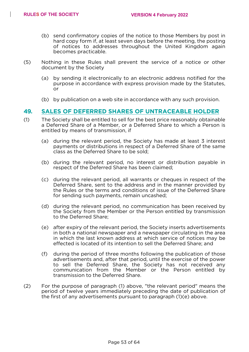- (b) send confirmatory copies of the notice to those Members by post in hard copy form if, at least seven days before the meeting, the posting of notices to addresses throughout the United Kingdom again becomes practicable.
- (5) Nothing in these Rules shall prevent the service of a notice or other document by the Society
	- (a) by sending it electronically to an electronic address notified for the purpose in accordance with express provision made by the Statutes, or
	- (b) by publication on a web site in accordance with any such provision.

#### **49. SALES OF DEFERRED SHARES OF UNTRACEABLE HOLDER**

- (1) The Society shall be entitled to sell for the best price reasonably obtainable a Deferred Share of a Member, or a Deferred Share to which a Person is entitled by means of transmission, if
	- (a) during the relevant period, the Society has made at least 3 interest payments or distributions in respect of a Deferred Share of the same class as the Deferred Share to be sold;
	- (b) during the relevant period, no interest or distribution payable in respect of the Deferred Share has been claimed;
	- (c) during the relevant period, all warrants or cheques in respect of the Deferred Share, sent to the address and in the manner provided by the Rules or the terms and conditions of issue of the Deferred Share for sending such payments, remain uncashed;
	- (d) during the relevant period, no communication has been received by the Society from the Member or the Person entitled by transmission to the Deferred Share;
	- (e) after expiry of the relevant period, the Society inserts advertisements in both a national newspaper and a newspaper circulating in the area in which the last known address at which service of notices may be effected is located of its intention to sell the Deferred Share; and
	- (f) during the period of three months following the publication of those advertisements and, after that period, until the exercise of the power to sell the Deferred Share, the Society has not received any communication from the Member or the Person entitled by transmission to the Deferred Share.
- (2) For the purpose of paragraph (1) above, "the relevant period" means the period of twelve years immediately preceding the date of publication of the first of any advertisements pursuant to paragraph (1)(e) above.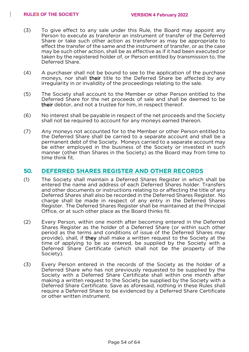- (3) To give effect to any sale under this Rule, the Board may appoint any Person to execute as transferor an instrument of transfer of the Deferred Share or take such other action as transferor as may be appropriate to effect the transfer of the same and the instrument of transfer, or as the case may be such other action, shall be as effective as if it had been executed or taken by the registered holder of, or Person entitled by transmission to, the Deferred Share.
- (4) A purchaser shall not be bound to see to the application of the purchase moneys, nor shall their title to the Deferred Share be affected by any irregularity in or invalidity of the proceedings relating to the sale.
- (5) The Society shall account to the Member or other Person entitled to the Deferred Share for the net proceeds of sale and shall be deemed to be their debtor, and not a trustee for him, in respect thereof.
- (6) No interest shall be payable in respect of the net proceeds and the Society shall not be required to account for any moneys earned thereon.
- (7) Any moneys not accounted for to the Member or other Person entitled to the Deferred Share shall be carried to a separate account and shall be a permanent debt of the Society. Moneys carried to a separate account may be either employed in the business of the Society or invested in such manner (other than Shares in the Society) as the Board may from time to time think fit.

#### **50. DEFERRED SHARES REGISTER AND OTHER RECORDS**

- (1) The Society shall maintain a Deferred Shares Register in which shall be entered the name and address of each Deferred Shares holder. Transfers and other documents or instructions relating to or affecting the title of any Deferred Shares shall also be recorded in the Deferred Shares Register. No charge shall be made in respect of any entry in the Deferred Shares Register. The Deferred Shares Register shall be maintained at the Principal Office, or at such other place as the Board thinks fit.
- (2) Every Person, within one month after becoming entered in the Deferred Shares Register as the holder of a Deferred Share (or within such other period as the terms and conditions of issue of the Deferred Shares may provide), shall, if they shall make a written request to the Society at the time of applying to be so entered, be supplied by the Society with a Deferred Share Certificate (which shall not be the property of the Society).
- (3) Every Person entered in the records of the Society as the holder of a Deferred Share who has not previously requested to be supplied by the Society with a Deferred Share Certificate shall within one month after making a written request to the Society be supplied by the Society with a Deferred Share Certificate. Save as aforesaid, nothing in these Rules shall require a Deferred Share to be evidenced by a Deferred Share Certificate or other written instrument.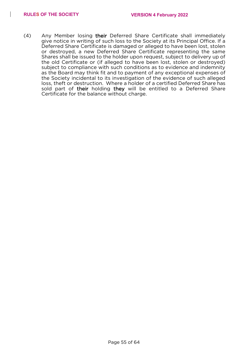$\overline{\phantom{a}}$ 

(4) Any Member losing their Deferred Share Certificate shall immediately give notice in writing of such loss to the Society at its Principal Office. If a Deferred Share Certificate is damaged or alleged to have been lost, stolen or destroyed, a new Deferred Share Certificate representing the same Shares shall be issued to the holder upon request, subject to delivery up of the old Certificate or (if alleged to have been lost, stolen or destroyed) subject to compliance with such conditions as to evidence and indemnity as the Board may think fit and to payment of any exceptional expenses of the Society incidental to its investigation of the evidence of such alleged loss, theft or destruction. Where a holder of a certified Deferred Share has sold part of their holding they will be entitled to a Deferred Share Certificate for the balance without charge.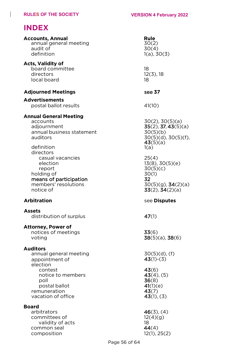# **INDEX**

 $\begin{array}{c} \hline \end{array}$ 

| <b>Accounts, Annual</b><br>annual general meeting<br>audit of<br>definition                                                                                            | Rule<br>30(2)<br>30(4)<br>$1(a)$ , $30(3)$                                                                     |
|------------------------------------------------------------------------------------------------------------------------------------------------------------------------|----------------------------------------------------------------------------------------------------------------|
| <b>Acts, Validity of</b><br>board committee<br>directors<br>local board                                                                                                | 18<br>$12(3)$ , 18<br>18                                                                                       |
| <b>Adjourned Meetings</b>                                                                                                                                              | see 37                                                                                                         |
| <b>Advertisements</b><br>postal ballot results                                                                                                                         | 41(10)                                                                                                         |
| <b>Annual General Meeting</b><br>accounts<br>adjournment<br>annual business statement<br>auditors<br>definition<br>directors                                           | $30(2)$ , $30(5)(a)$<br>$35(2)$ , 37, 43 $(5)(a)$<br>30(5)(b)<br>$30(5)(d)$ , $30(5)(f)$ ,<br>43(5)(a)<br>1(a) |
| casual vacancies<br>election<br>report<br>holding of<br>means of participation<br>members' resolutions<br>notice of                                                    | 25(4)<br>13(8), 30(5)(e)<br>30(5)(c)<br>30(1)<br>32<br>$30(5)(g)$ , $34(2)(a)$<br>33(2), 34(2)(a)              |
| <b>Arbitration</b>                                                                                                                                                     | see Disputes                                                                                                   |
| <b>Assets</b><br>distribution of surplus                                                                                                                               | 47(1)                                                                                                          |
| <b>Attorney, Power of</b><br>notices of meetings<br>voting                                                                                                             | 33(6)<br>$38(5)(a)$ , $38(6)$                                                                                  |
| <b>Auditors</b><br>annual general meeting<br>appointment of<br>election<br>contest<br>notice to members<br>poll<br>postal ballot<br>remuneration<br>vacation of office | $30(5)(d)$ , (f)<br>$43(1)-(3)$<br>43(6)<br>$43(4)$ , (5)<br>36(8)<br>41(1)(e)<br>43(7)<br>43(1), (3)          |
| <b>Board</b><br>arbitrators<br>committees of<br>validity of acts<br>common seal<br>composition                                                                         | $46(3)$ , (4)<br>12(4)(g)<br>18<br>44(4)<br>12(1), 25(2)                                                       |

Page 56 of 64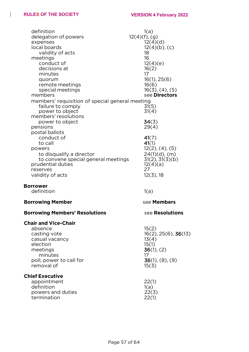$\begin{array}{c} \hline \end{array}$ 

| definition<br>delegation of powers<br>expenses<br>local boards<br>validity of acts<br>meetings<br>conduct of<br>decisions at<br>minutes<br>quorum<br>remote meetings<br>special meetings<br>members<br>members' requisition of special general meeting | 1(a)<br>$12(4)(f)$ , (g)<br>12(4)(d)<br>$12(4)(b)$ , (c)<br>18<br>16<br>12(4)(e)<br>16(2)<br>17<br>16(1), 25(6)<br>16(6)<br>$16(3)$ , $(4)$ , $(5)$<br>see Directors |
|--------------------------------------------------------------------------------------------------------------------------------------------------------------------------------------------------------------------------------------------------------|----------------------------------------------------------------------------------------------------------------------------------------------------------------------|
| failure to comply<br>power to object<br>members' resolutions<br>power to object<br>pensions                                                                                                                                                            | 31(5)<br>31(4)<br>34(3)<br>29(4)                                                                                                                                     |
| postal ballots<br>conduct of<br>to call<br>powers<br>to disqualify a director<br>to convene special general meetings<br>prudential duties<br>reserves<br>validity of acts                                                                              | 41(7)<br>41(1)<br>$12(2)$ , $(4)$ , $(5)$<br>$24(1)(d)$ , (m)<br>31(2), 31(3)(b)<br>12(4)(a)<br>27<br>$12(3)$ , 18                                                   |
| <b>Borrower</b><br>definition                                                                                                                                                                                                                          | 1(a)                                                                                                                                                                 |
| <b>Borrowing Member</b>                                                                                                                                                                                                                                | see Members                                                                                                                                                          |
| <b>Borrowing Members' Resolutions</b>                                                                                                                                                                                                                  | see Resolutions                                                                                                                                                      |
| <b>Chair and Vice-Chair</b><br>absence<br>casting vote<br>casual vacancy<br>election<br>meetings<br>minutes<br>poll, power to call for<br>removal of                                                                                                   | 15(2)<br>$16(2)$ , 25(6), 36(13)<br>13(4)<br>15(1)<br>36(1), (2)<br>17<br>$36(1)$ , $(8)$ , $(9)$<br>15(3)                                                           |
| <b>Chief Executive</b><br>appointment<br>definition<br>powers and duties<br>termination                                                                                                                                                                | 22(1)<br>1(a)<br>22(3)<br>22(1)                                                                                                                                      |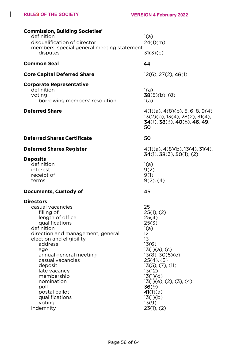$\mathsf{l}$ 

| <b>Commission, Building Societies'</b><br>definition<br>disqualification of director<br>members' special general meeting statement<br>disputes                                                                                                                                                                                                                   | 1(a)<br>24(1)(m)<br>31(3)(c)                                                                                                                                                                                                                                                  |
|------------------------------------------------------------------------------------------------------------------------------------------------------------------------------------------------------------------------------------------------------------------------------------------------------------------------------------------------------------------|-------------------------------------------------------------------------------------------------------------------------------------------------------------------------------------------------------------------------------------------------------------------------------|
| <b>Common Seal</b>                                                                                                                                                                                                                                                                                                                                               | 44                                                                                                                                                                                                                                                                            |
| <b>Core Capital Deferred Share</b>                                                                                                                                                                                                                                                                                                                               | $12(6)$ , $27(2)$ , $46(1)$                                                                                                                                                                                                                                                   |
| <b>Corporate Representative</b><br>definition<br>voting<br>borrowing members' resolution                                                                                                                                                                                                                                                                         | 1(a)<br>$38(5)(b)$ , (8)<br>1(a)                                                                                                                                                                                                                                              |
| <b>Deferred Share</b>                                                                                                                                                                                                                                                                                                                                            | $4(1)(a)$ , $4(8)(b)$ , 5, 6, 8, 9(4),<br>$13(2)(b)$ , $13(4)$ , $28(2)$ , $31(4)$ ,<br>$34(1)$ , $38(3)$ , $40(8)$ , $46$ , $49$ ,<br>50                                                                                                                                     |
| <b>Deferred Shares Certificate</b>                                                                                                                                                                                                                                                                                                                               | 50                                                                                                                                                                                                                                                                            |
| <b>Deferred Shares Register</b>                                                                                                                                                                                                                                                                                                                                  | $4(1)(a)$ , $4(8)(b)$ , $13(4)$ , $31(4)$ ,<br>34(1), 38(3), 50(1), (2)                                                                                                                                                                                                       |
| <b>Deposits</b><br>definition<br>interest<br>receipt of<br>terms                                                                                                                                                                                                                                                                                                 | 1(a)<br>9(2)<br>9(1)<br>$9(2)$ , $(4)$                                                                                                                                                                                                                                        |
| Documents, Custody of                                                                                                                                                                                                                                                                                                                                            | 45                                                                                                                                                                                                                                                                            |
| <b>Directors</b><br>casual vacancies<br>filling of<br>length of office<br>qualifications<br>definition<br>direction and management, general<br>election and eligibility<br>address<br>age<br>annual general meeting<br>casual vacancies<br>deposit<br>late vacancy<br>membership<br>nomination<br>poll<br>postal ballot<br>qualifications<br>voting<br>indemnity | 25<br>25(1), (2)<br>25(4)<br>25(3)<br>1(a)<br>12<br>13<br>13(6)<br>$13(1)(a)$ , (c)<br>13(8), 30(5)(e)<br>$25(4)$ , $(5)$<br>$13(5)$ , $(7)$ , $(11)$<br>13(12)<br>13(1)(d)<br>$13(1)(e)$ , $(2)$ , $(3)$ , $(4)$<br>36(9)<br>41(1)(a)<br>13(1)(b)<br>$13(9)$ ,<br>23(1), (2) |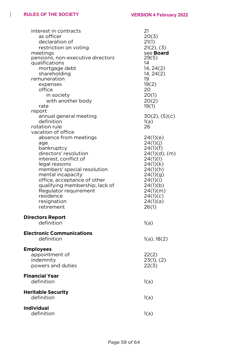$\begin{array}{c} \hline \end{array}$ 

| interest in contracts<br>as officer<br>declaration of<br>restriction on voting<br>meetings<br>pensions, non-executive directors<br>qualifications<br>mortgage debt<br>shareholding<br>remuneration<br>expenses<br>office<br>in society<br>with another body<br>rate                                   | 21<br>20(3)<br>21(1)<br>21(2), (3)<br>see <b>Board</b><br>29(5)<br>14<br>14, 24(2)<br>14, 24(2)<br>19<br>19(2)<br>20<br>20(1)<br>20(2)<br>19(1)                           |
|-------------------------------------------------------------------------------------------------------------------------------------------------------------------------------------------------------------------------------------------------------------------------------------------------------|---------------------------------------------------------------------------------------------------------------------------------------------------------------------------|
| report<br>annual general meeting<br>definition<br>rotation rule<br>vacation of office                                                                                                                                                                                                                 | $30(2)$ , $(5)(c)$<br>1(a)<br>26                                                                                                                                          |
| absence from meetings<br>age<br>bankruptcy<br>directors' resolution<br>interest, conflict of<br>legal reasons<br>members' special resolution<br>mental incapacity<br>office, acceptance of other<br>qualifying membership, lack of<br>Regulator requirement<br>residence<br>resignation<br>retirement | 24(1)(e)<br>24(1)(j)<br>24(1)(f)<br>$24(1)(d)$ , (m)<br>24(1)(1)<br>24(1)(k)<br>24(1)(h)<br>24(1)(g)<br>24(1)(i)<br>24(1)(b)<br>24(1)(m)<br>24(1)(c)<br>24(1)(a)<br>26(1) |
| <b>Directors Report</b><br>definition                                                                                                                                                                                                                                                                 | 1(a)                                                                                                                                                                      |
| <b>Electronic Communications</b><br>definition                                                                                                                                                                                                                                                        | $1(a)$ , $18(2)$                                                                                                                                                          |
| <b>Employees</b><br>appointment of<br>indemnity<br>powers and duties                                                                                                                                                                                                                                  | 22(2)<br>23(1), (2)<br>22(3)                                                                                                                                              |
| <b>Financial Year</b><br>definition                                                                                                                                                                                                                                                                   | 1(a)                                                                                                                                                                      |
| <b>Heritable Security</b><br>definition                                                                                                                                                                                                                                                               | 1(a)                                                                                                                                                                      |
| <b>Individual</b><br>definition                                                                                                                                                                                                                                                                       | 1(a)                                                                                                                                                                      |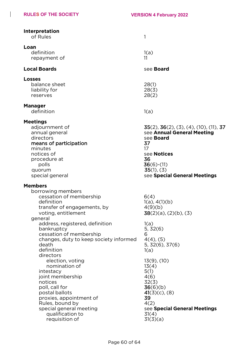$\mathbf{I}$ 

| Interpretation<br>of Rules                                                                                                                                                                                                                    | 1                                                                                                                                                                                                    |
|-----------------------------------------------------------------------------------------------------------------------------------------------------------------------------------------------------------------------------------------------|------------------------------------------------------------------------------------------------------------------------------------------------------------------------------------------------------|
| Loan<br>definition<br>repayment of                                                                                                                                                                                                            | 1(a)<br>11                                                                                                                                                                                           |
| <b>Local Boards</b>                                                                                                                                                                                                                           | see <b>Board</b>                                                                                                                                                                                     |
| <b>Losses</b><br>balance sheet<br>liability for<br>reserves                                                                                                                                                                                   | 28(1)<br>28(3)<br>28(2)                                                                                                                                                                              |
| <b>Manager</b><br>definition                                                                                                                                                                                                                  | 1(a)                                                                                                                                                                                                 |
| <b>Meetings</b><br>adjournment of<br>annual general<br>directors<br>means of participation<br>minutes<br>notices of<br>procedure at<br>polls<br>quorum<br>special general                                                                     | $35(2)$ , $36(2)$ , $(3)$ , $(4)$ , $(10)$ , $(11)$ , $37$<br>see Annual General Meeting<br>see Board<br>37<br>17<br>see Notices<br>36<br>$36(6)-(11)$<br>35(1), (3)<br>see Special General Meetings |
| <b>Members</b><br>borrowing members<br>cessation of membership<br>definition<br>transfer of engagements, by<br>voting, entitlement<br>general                                                                                                 | 6(4)<br>1(a), 4(1)(b)<br>4(9)(b)<br>$38(2)(a)$ , $(2)(b)$ , $(3)$                                                                                                                                    |
| address, registered, definition<br>bankruptcy<br>cessation of membership<br>changes, duty to keep society informed<br>death<br>definition                                                                                                     | 1(a)<br>5, 32(6)<br>6<br>$4(4)$ , (5)<br>5, 32(6), 37(6)<br>1(a)                                                                                                                                     |
| directors<br>election, voting<br>nomination of<br>intestacy<br>joint membership<br>notices<br>poll, call for<br>postal ballots<br>proxies, appointment of<br>Rules, bound by<br>special general meeting<br>qualification to<br>requisition of | $13(9)$ , $(10)$<br>13(4)<br>5(1)<br>4(6)<br>32(3)<br>36(6)(b)<br>$41(3)(c)$ , (8)<br>39<br>4(2)<br>see Special General Meetings<br>31(4)<br>31(3)(a)                                                |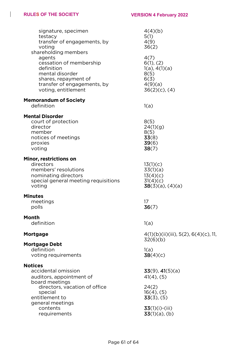$\begin{array}{c} \hline \end{array}$ 

| signature, specimen<br>testacy<br>transfer of engagements, by<br>voting<br>shareholding members<br>agents<br>cessation of membership  | 4(4)(b)<br>5(1)<br>4(9)<br>36(2)<br>4(7)<br>6(1), (2)                 |
|---------------------------------------------------------------------------------------------------------------------------------------|-----------------------------------------------------------------------|
| definition<br>mental disorder<br>shares, repayment of<br>transfer of engagements, by<br>voting, entitlement                           | 1(a), 4(1)(a)<br>8(5)<br>6(3)<br>4(9)(a)<br>$36(2)(c)$ , (4)          |
| <b>Memorandum of Society</b><br>definition                                                                                            | 1(a)                                                                  |
| <b>Mental Disorder</b><br>court of protection<br>director<br>member<br>notices of meetings<br>proxies<br>voting                       | 8(5)<br>24(1)(g)<br>8(5)<br>33(8)<br>39(6)<br>38(7)                   |
| Minor, restrictions on<br>directors<br>members' resolutions<br>nominating directors<br>special general meeting requisitions<br>voting | 13(1)(c)<br>33(1)(a)<br>13(4)(c)<br>31(4)(c)<br>$38(3)(a)$ , $(4)(a)$ |
| <b>Minutes</b><br>meetings<br>polls                                                                                                   | 17<br>36(7)                                                           |
| <b>Month</b><br>definition                                                                                                            | 1(a)                                                                  |
| <b>Mortgage</b>                                                                                                                       | 4(1)(b)(ii)(iii), 5(2), 6(4)(c), 11,<br>32(6)(b)                      |
| <b>Mortgage Debt</b><br>definition<br>voting requirements                                                                             | 1(a)<br>38(4)(c)                                                      |
| <b>Notices</b><br>accidental omission<br>auditors, appointment of<br>board meetings                                                   | $33(9)$ , $41(5)(a)$<br>$41(4)$ , $(5)$                               |
| directors, vacation of office<br>special<br>entitlement to                                                                            | 24(2)<br>$16(4)$ , $(5)$<br>$33(3)$ , (5)                             |
| general meetings<br>contents<br>requirements                                                                                          | $33(1)(i)-(iii)$<br>$33(1)(a)$ , (b)                                  |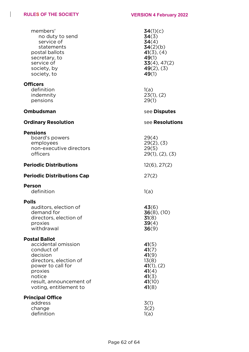# **RULES OF THE SOCIETY VERSION 4 February 2022**

 $\mathbf{I}$ 

| members'<br>no duty to send<br>service of<br>statements<br>postal ballots<br>secretary, to<br>service of<br>society, by<br>society, to                                                         | 34(1)(c)<br>34(3)<br>34(4)<br>34(2)(b)<br>$41(3)$ , $(4)$<br>49(1)<br>33(4), 47(2)<br>$49(2)$ , (3)<br>49(1) |
|------------------------------------------------------------------------------------------------------------------------------------------------------------------------------------------------|--------------------------------------------------------------------------------------------------------------|
| <b>Officers</b><br>definition<br>indemnity<br>pensions                                                                                                                                         | 1(a)<br>23(1), (2)<br>29(1)                                                                                  |
| Ombudsman                                                                                                                                                                                      | see Disputes                                                                                                 |
| <b>Ordinary Resolution</b>                                                                                                                                                                     | see Resolutions                                                                                              |
| <b>Pensions</b><br>board's powers<br>employees<br>non-executive directors<br>officers                                                                                                          | 29(4)<br>$29(2)$ , $(3)$<br>29(5)<br>$29(1)$ , $(2)$ , $(3)$                                                 |
| <b>Periodic Distributions</b>                                                                                                                                                                  | $12(6)$ , $27(2)$                                                                                            |
| <b>Periodic Distributions Cap</b>                                                                                                                                                              | 27(2)                                                                                                        |
| <b>Person</b><br>definition                                                                                                                                                                    | 1(a)                                                                                                         |
| Polls<br>auditors, election of<br>demand for<br>directors, election of<br>proxies<br>withdrawal                                                                                                | 43(6)<br>$36(8)$ , (10)<br>31(8)<br>39(4)<br>36(9)                                                           |
| <b>Postal Ballot</b><br>accidental omission<br>conduct of<br>decision<br>directors, election of<br>power to call for<br>proxies<br>notice<br>result, announcement of<br>voting, entitlement to | 41(5)<br>41(7)<br>41(9)<br>13(8)<br>41(1), (2)<br>41(4)<br>41(3)<br>41(10)<br>41(8)                          |
| <b>Principal Office</b><br>address<br>change<br>definition                                                                                                                                     | 3(1)<br>3(2)<br>1(a)                                                                                         |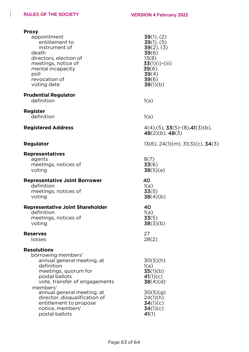# **RULES OF THE SOCIETY VERSION 4 February 2022**

 $\mathbf{I}$ 

| <b>Proxy</b>                                            |                                                      |
|---------------------------------------------------------|------------------------------------------------------|
| appointment<br>entitlement to                           | 39(1), (2)<br>39(1), (5)                             |
| instrument of                                           | $39(2)$ , (3)                                        |
| death                                                   | 39(6)                                                |
| directors, election of<br>meetings, notice of           | 13(8)<br>$33(1)(i)-(iii)$                            |
| mental incapacity                                       | 39(6)                                                |
| poll                                                    | 39(4)                                                |
| revocation of<br>voting date                            | 39(6)<br>38(1)(b)                                    |
|                                                         |                                                      |
| <b>Prudential Regulator</b>                             |                                                      |
| definition                                              | 1(a)                                                 |
| <b>Register</b>                                         |                                                      |
| definition                                              | 1(a)                                                 |
| <b>Registered Address</b>                               | $4(4)$ , (5), <b>33</b> (5) - (8), <b>41</b> (3)(b), |
|                                                         | $48(2)(b)$ , $48(3)$                                 |
| <b>Regulator</b>                                        | $13(6)$ , $24(1)(m)$ , $31(3)(c)$ , $34(3)$          |
|                                                         |                                                      |
| <b>Representatives</b><br>agents                        | 8(7)                                                 |
| meetings, notices of                                    | 33(6)                                                |
| voting                                                  | 38(5)(a)                                             |
| <b>Representative Joint Borrower</b>                    | 40                                                   |
| definition                                              | 1(a)                                                 |
| meetings, notices of<br>voting                          | 33(5)<br>38(4)(b)                                    |
|                                                         |                                                      |
| <b>Representative Joint Shareholder</b>                 | 40                                                   |
| definition<br>meetings, notices of                      | 1(a)<br>33(5)                                        |
| voting                                                  | 38(3)(b)                                             |
|                                                         | 27                                                   |
| <b>Reserves</b><br>losses                               | 28(2)                                                |
|                                                         |                                                      |
| <b>Resolutions</b><br>borrowing members'                |                                                      |
| annual general meeting, at                              | 30(5)(h)                                             |
| definition                                              | 1(a)                                                 |
| meetings, quorum for<br>postal ballots                  | 35(1)(b)<br>41(1)(c)                                 |
| vote, transfer of engagements                           | 38(4)(d)                                             |
| members'                                                |                                                      |
| annual general meeting, at                              | 30(5)(g)                                             |
| director, disqualification of<br>entitlement to propose | 24(1)(h)<br>34(1)(c)                                 |
| notice, members'                                        | 34(1)(c)                                             |
| postal ballots                                          | 41(1)                                                |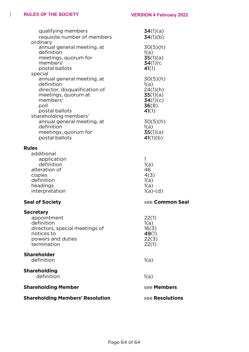$\begin{array}{c} \hline \end{array}$ 

| qualifying members<br>requisite number of members<br>ordinary<br>annual general meeting, at<br>definition<br>meetings, quorum for<br>members'<br>postal ballots<br>special | 34(1)(a)<br>34(1)(b)<br>30(5)(h)<br>1(a)<br>35(1)(a)<br>34(1)(c)<br>41(1) |
|----------------------------------------------------------------------------------------------------------------------------------------------------------------------------|---------------------------------------------------------------------------|
| annual general meeting, at<br>definition<br>director, disqualification of<br>meetings, quorum at<br>members'<br>poll<br>postal ballots<br>shareholding members'            | 30(5)(h)<br>1(a)<br>24(1)(h)<br>35(1)(a)<br>34(1)(c)<br>36(8)<br>41(1)    |
| annual general meeting, at<br>definition<br>meetings, quorum for<br>postal ballots                                                                                         | 30(5)(h)<br>1(a)<br>35(1)(a)<br>41(1)(b)                                  |
| <b>Rules</b><br>additional<br>application<br>definition<br>alteration of<br>copies<br>definition<br>headings<br>interpretation                                             | 1<br>1(a)<br>46<br>4(3)<br>1(a)<br>1(a)<br>$1(a)-(d)$                     |
| <b>Seal of Society</b>                                                                                                                                                     | see Common Seal                                                           |
| <b>Secretary</b><br>appointment<br>definition<br>directors, special meetings of<br>notices to<br>powers and duties<br>termination                                          | 22(1)<br>1(a)<br>16(3)<br>49(1)<br>22(3)<br>22(1)                         |
| <b>Shareholder</b><br>definition                                                                                                                                           | 1(a)                                                                      |
| <b>Shareholding</b><br>definition                                                                                                                                          | 1(a)                                                                      |
| <b>Shareholding Member</b>                                                                                                                                                 | see Members                                                               |
| <b>Shareholding Members' Resolution</b>                                                                                                                                    | see <b>Resolutions</b>                                                    |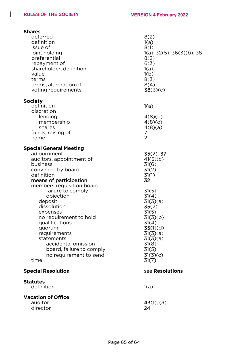$\mathbf{I}$ 

| <b>Shares</b><br>deferred<br>definition<br>issue of<br>joint holding<br>preferential<br>repayment of<br>shareholder, definition<br>value<br>terms<br>terms, alternation of<br>voting requirements                                                                                                                                                                                                                                | 8(2)<br>1(a)<br>8(1)<br>$1(a)$ , 32(5), 36(3)(b), 38<br>8(2)<br>6(3)<br>1(a)<br>1(b)<br>8(3)<br>8(4)<br>38(3)(c)                                                                                          |
|----------------------------------------------------------------------------------------------------------------------------------------------------------------------------------------------------------------------------------------------------------------------------------------------------------------------------------------------------------------------------------------------------------------------------------|-----------------------------------------------------------------------------------------------------------------------------------------------------------------------------------------------------------|
| <b>Society</b><br>definition<br>discretion<br>lending<br>membership<br>shares<br>funds, raising of<br>name                                                                                                                                                                                                                                                                                                                       | 1(a)<br>4(8)(b)<br>4(8)(c)<br>4(8)(a)<br>7<br>$\overline{2}$                                                                                                                                              |
| <b>Special General Meeting</b><br>adjournment<br>auditors, appointment of<br>business<br>convened by board<br>definition<br>means of participation<br>members requisition board<br>failure to comply<br>objection<br>deposit<br>dissolution<br>expenses<br>no requirement to hold<br>qualifications<br>quorum<br>requirements<br>statements<br>accidental omission<br>board, failure to comply<br>no requirement to send<br>time | $35(2)$ , 37<br>41(5)(c)<br>31(6)<br>31(2)<br>31(1)<br>32<br>31(5)<br>31(4)<br>31(3)(a)<br>35(2)<br>31(5)<br>31(3)(b)<br>31(4)<br>35(1)(d)<br>31(3)(a)<br>31(3)(a)<br>31(8)<br>31(5)<br>31(3)(c)<br>31(7) |
| <b>Special Resolution</b>                                                                                                                                                                                                                                                                                                                                                                                                        | see Resolutions                                                                                                                                                                                           |
| <b>Statutes</b><br>definition                                                                                                                                                                                                                                                                                                                                                                                                    | 1(a)                                                                                                                                                                                                      |
| <b>Vacation of Office</b><br>auditor<br>director                                                                                                                                                                                                                                                                                                                                                                                 | 43(1), (3)<br>24                                                                                                                                                                                          |